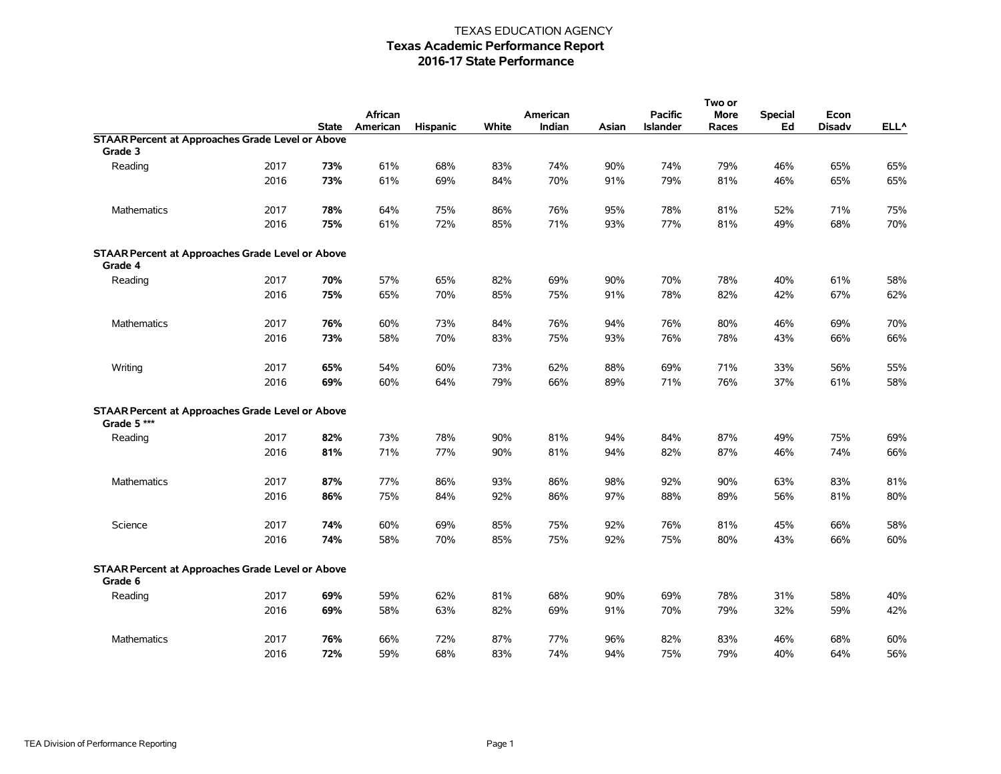|                                                                        |      |              |            |            |       |          |       |                 | Two or      |                |               |                  |
|------------------------------------------------------------------------|------|--------------|------------|------------|-------|----------|-------|-----------------|-------------|----------------|---------------|------------------|
|                                                                        |      |              | African    |            |       | American |       | <b>Pacific</b>  | <b>More</b> | <b>Special</b> | Econ          |                  |
|                                                                        |      | <b>State</b> | American   | Hispanic   | White | Indian   | Asian | <b>Islander</b> | Races       | Ed             | <b>Disadv</b> | ELL <sup>^</sup> |
| <b>STAAR Percent at Approaches Grade Level or Above</b>                |      |              |            |            |       |          |       |                 |             |                |               |                  |
| Grade 3                                                                |      |              |            |            |       |          |       |                 |             |                |               |                  |
| Reading                                                                | 2017 | 73%          | 61%        | 68%        | 83%   | 74%      | 90%   | 74%             | 79%         | 46%            | 65%           | 65%              |
|                                                                        | 2016 | 73%          | 61%        | 69%        | 84%   | 70%      | 91%   | 79%             | 81%         | 46%            | 65%           | 65%              |
| Mathematics                                                            | 2017 | 78%          | 64%        | 75%        | 86%   | 76%      | 95%   | 78%             | 81%         | 52%            | 71%           | 75%              |
|                                                                        | 2016 | 75%          | 61%        | 72%        | 85%   | 71%      | 93%   | 77%             | 81%         | 49%            | 68%           | 70%              |
| <b>STAAR Percent at Approaches Grade Level or Above</b><br>Grade 4     |      |              |            |            |       |          |       |                 |             |                |               |                  |
| Reading                                                                | 2017 | 70%          | 57%        | 65%        | 82%   | 69%      | 90%   | 70%             | 78%         | 40%            | 61%           | 58%              |
|                                                                        | 2016 | 75%          | 65%        | 70%        | 85%   | 75%      | 91%   | 78%             | 82%         | 42%            | 67%           | 62%              |
| Mathematics                                                            | 2017 | 76%          | 60%        | 73%        | 84%   | 76%      | 94%   | 76%             | 80%         | 46%            | 69%           | 70%              |
|                                                                        | 2016 | 73%          | 58%        | 70%        | 83%   | 75%      | 93%   | 76%             | 78%         | 43%            | 66%           | 66%              |
| Writing                                                                | 2017 | 65%          | 54%        | 60%        | 73%   | 62%      | 88%   | 69%             | 71%         | 33%            | 56%           | 55%              |
|                                                                        | 2016 | 69%          | 60%        | 64%        | 79%   | 66%      | 89%   | 71%             | 76%         | 37%            | 61%           | 58%              |
| <b>STAAR Percent at Approaches Grade Level or Above</b><br>Grade 5 *** |      |              |            |            |       |          |       |                 |             |                |               |                  |
| Reading                                                                | 2017 | 82%          | 73%        | 78%        | 90%   | 81%      | 94%   | 84%             | 87%         | 49%            | 75%           | 69%              |
|                                                                        | 2016 | 81%          | 71%        | 77%        | 90%   | 81%      | 94%   | 82%             | 87%         | 46%            | 74%           | 66%              |
| <b>Mathematics</b>                                                     | 2017 | 87%          | 77%        | 86%        | 93%   | 86%      | 98%   | 92%             | 90%         | 63%            | 83%           | 81%              |
|                                                                        | 2016 | 86%          | 75%        | 84%        | 92%   | 86%      | 97%   | 88%             | 89%         | 56%            | 81%           | 80%              |
|                                                                        | 2017 |              |            |            | 85%   | 75%      | 92%   | 76%             |             |                | 66%           |                  |
| Science                                                                | 2016 | 74%<br>74%   | 60%<br>58% | 69%<br>70% | 85%   | 75%      | 92%   | 75%             | 81%<br>80%  | 45%<br>43%     | 66%           | 58%<br>60%       |
| <b>STAAR Percent at Approaches Grade Level or Above</b><br>Grade 6     |      |              |            |            |       |          |       |                 |             |                |               |                  |
| Reading                                                                | 2017 | 69%          | 59%        | 62%        | 81%   | 68%      | 90%   | 69%             | 78%         | 31%            | 58%           | 40%              |
|                                                                        | 2016 | 69%          | 58%        | 63%        | 82%   | 69%      | 91%   | 70%             | 79%         | 32%            | 59%           | 42%              |
| Mathematics                                                            | 2017 | 76%          | 66%        | 72%        | 87%   | 77%      | 96%   | 82%             | 83%         | 46%            | 68%           | 60%              |
|                                                                        | 2016 | 72%          | 59%        | 68%        | 83%   | 74%      | 94%   | 75%             | 79%         | 40%            | 64%           | 56%              |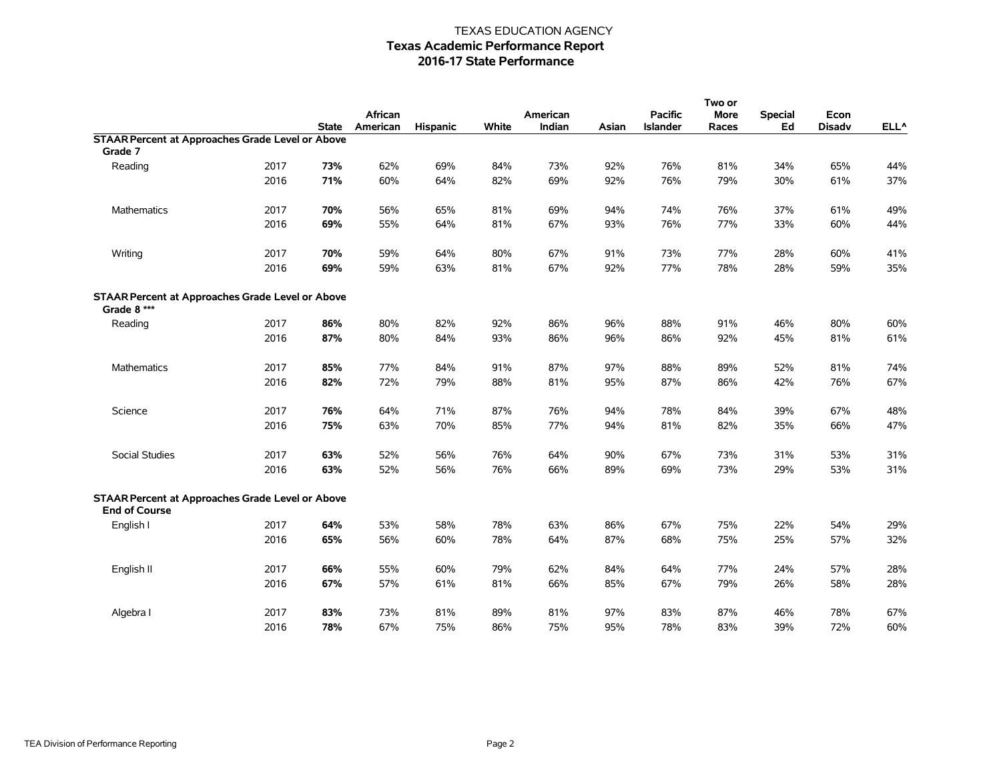|                                                                                 |      |              |          |          |       |          |       |                 | Two or      |                |               |         |
|---------------------------------------------------------------------------------|------|--------------|----------|----------|-------|----------|-------|-----------------|-------------|----------------|---------------|---------|
|                                                                                 |      |              | African  |          |       | American |       | <b>Pacific</b>  | <b>More</b> | <b>Special</b> | Econ          |         |
|                                                                                 |      | <b>State</b> | American | Hispanic | White | Indian   | Asian | <b>Islander</b> | Races       | Ed             | <b>Disadv</b> | $ELL^A$ |
| <b>STAAR Percent at Approaches Grade Level or Above</b>                         |      |              |          |          |       |          |       |                 |             |                |               |         |
| Grade 7                                                                         |      |              |          |          |       |          |       |                 |             |                |               |         |
| Reading                                                                         | 2017 | 73%          | 62%      | 69%      | 84%   | 73%      | 92%   | 76%             | 81%         | 34%            | 65%           | 44%     |
|                                                                                 | 2016 | 71%          | 60%      | 64%      | 82%   | 69%      | 92%   | 76%             | 79%         | 30%            | 61%           | 37%     |
| <b>Mathematics</b>                                                              | 2017 | 70%          | 56%      | 65%      | 81%   | 69%      | 94%   | 74%             | 76%         | 37%            | 61%           | 49%     |
|                                                                                 | 2016 | 69%          | 55%      | 64%      | 81%   | 67%      | 93%   | 76%             | 77%         | 33%            | 60%           | 44%     |
| Writing                                                                         | 2017 | 70%          | 59%      | 64%      | 80%   | 67%      | 91%   | 73%             | 77%         | 28%            | 60%           | 41%     |
|                                                                                 | 2016 | 69%          | 59%      | 63%      | 81%   | 67%      | 92%   | 77%             | 78%         | 28%            | 59%           | 35%     |
| <b>STAAR Percent at Approaches Grade Level or Above</b><br>Grade 8 ***          |      |              |          |          |       |          |       |                 |             |                |               |         |
| Reading                                                                         | 2017 | 86%          | 80%      | 82%      | 92%   | 86%      | 96%   | 88%             | 91%         | 46%            | 80%           | 60%     |
|                                                                                 | 2016 | 87%          | 80%      | 84%      | 93%   | 86%      | 96%   | 86%             | 92%         | 45%            | 81%           | 61%     |
| Mathematics                                                                     | 2017 | 85%          | 77%      | 84%      | 91%   | 87%      | 97%   | 88%             | 89%         | 52%            | 81%           | 74%     |
|                                                                                 | 2016 | 82%          | 72%      | 79%      | 88%   | 81%      | 95%   | 87%             | 86%         | 42%            | 76%           | 67%     |
| Science                                                                         | 2017 | 76%          | 64%      | 71%      | 87%   | 76%      | 94%   | 78%             | 84%         | 39%            | 67%           | 48%     |
|                                                                                 | 2016 | 75%          | 63%      | 70%      | 85%   | 77%      | 94%   | 81%             | 82%         | 35%            | 66%           | 47%     |
| Social Studies                                                                  | 2017 | 63%          | 52%      | 56%      | 76%   | 64%      | 90%   | 67%             | 73%         | 31%            | 53%           | 31%     |
|                                                                                 | 2016 | 63%          | 52%      | 56%      | 76%   | 66%      | 89%   | 69%             | 73%         | 29%            | 53%           | 31%     |
| <b>STAAR Percent at Approaches Grade Level or Above</b><br><b>End of Course</b> |      |              |          |          |       |          |       |                 |             |                |               |         |
| English I                                                                       | 2017 | 64%          | 53%      | 58%      | 78%   | 63%      | 86%   | 67%             | 75%         | 22%            | 54%           | 29%     |
|                                                                                 | 2016 | 65%          | 56%      | 60%      | 78%   | 64%      | 87%   | 68%             | 75%         | 25%            | 57%           | 32%     |
| English II                                                                      | 2017 | 66%          | 55%      | 60%      | 79%   | 62%      | 84%   | 64%             | 77%         | 24%            | 57%           | 28%     |
|                                                                                 | 2016 | 67%          | 57%      | 61%      | 81%   | 66%      | 85%   | 67%             | 79%         | 26%            | 58%           | 28%     |
| Algebra I                                                                       | 2017 | 83%          | 73%      | 81%      | 89%   | 81%      | 97%   | 83%             | 87%         | 46%            | 78%           | 67%     |
|                                                                                 | 2016 | 78%          | 67%      | 75%      | 86%   | 75%      | 95%   | 78%             | 83%         | 39%            | 72%           | 60%     |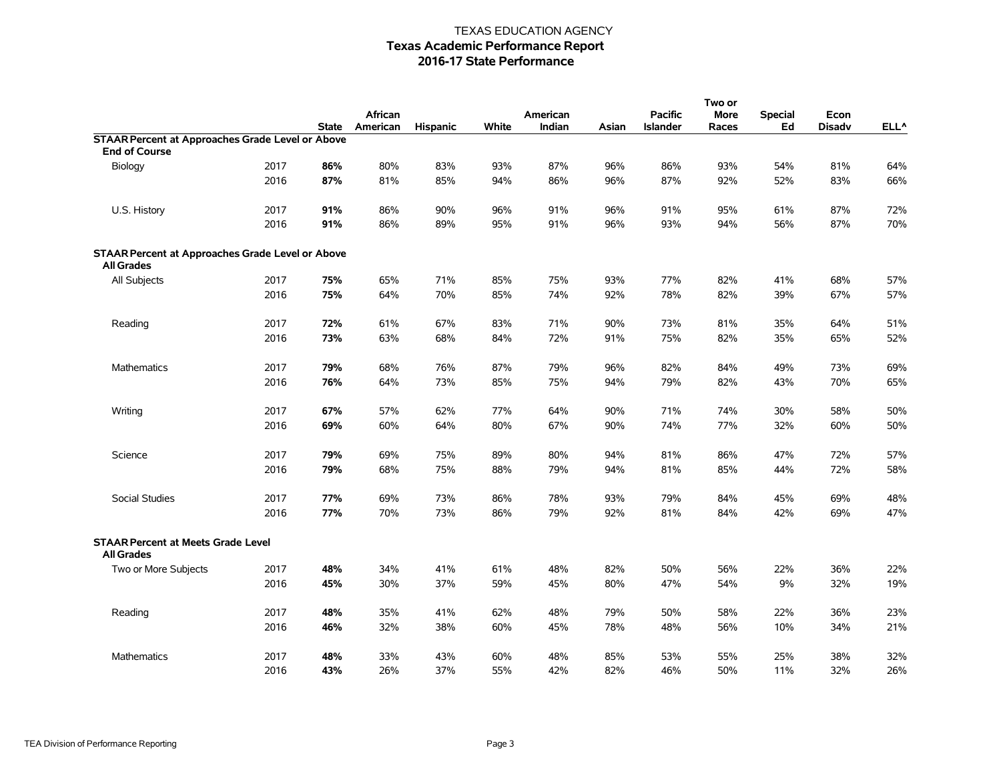|                                                                              |      |              |          |          |       |          |       |                 | Two or      |         |               |                  |
|------------------------------------------------------------------------------|------|--------------|----------|----------|-------|----------|-------|-----------------|-------------|---------|---------------|------------------|
|                                                                              |      |              | African  |          |       | American |       | <b>Pacific</b>  | <b>More</b> | Special | Econ          |                  |
|                                                                              |      | <b>State</b> | American | Hispanic | White | Indian   | Asian | <b>Islander</b> | Races       | Ed      | <b>Disadv</b> | ELL <sup>^</sup> |
| <b>STAAR Percent at Approaches Grade Level or Above</b>                      |      |              |          |          |       |          |       |                 |             |         |               |                  |
| <b>End of Course</b>                                                         |      |              |          |          |       |          |       |                 |             |         |               |                  |
| Biology                                                                      | 2017 | 86%          | 80%      | 83%      | 93%   | 87%      | 96%   | 86%             | 93%         | 54%     | 81%           | 64%              |
|                                                                              | 2016 | 87%          | 81%      | 85%      | 94%   | 86%      | 96%   | 87%             | 92%         | 52%     | 83%           | 66%              |
| U.S. History                                                                 | 2017 | 91%          | 86%      | 90%      | 96%   | 91%      | 96%   | 91%             | 95%         | 61%     | 87%           | 72%              |
|                                                                              | 2016 | 91%          | 86%      | 89%      | 95%   | 91%      | 96%   | 93%             | 94%         | 56%     | 87%           | 70%              |
| <b>STAAR Percent at Approaches Grade Level or Above</b><br><b>All Grades</b> |      |              |          |          |       |          |       |                 |             |         |               |                  |
| All Subjects                                                                 | 2017 | 75%          | 65%      | 71%      | 85%   | 75%      | 93%   | 77%             | 82%         | 41%     | 68%           | 57%              |
|                                                                              | 2016 | 75%          | 64%      | 70%      | 85%   | 74%      | 92%   | 78%             | 82%         | 39%     | 67%           | 57%              |
| Reading                                                                      | 2017 | 72%          | 61%      | 67%      | 83%   | 71%      | 90%   | 73%             | 81%         | 35%     | 64%           | 51%              |
|                                                                              | 2016 | 73%          | 63%      | 68%      | 84%   | 72%      | 91%   | 75%             | 82%         | 35%     | 65%           | 52%              |
| <b>Mathematics</b>                                                           | 2017 | 79%          | 68%      | 76%      | 87%   | 79%      | 96%   | 82%             | 84%         | 49%     | 73%           | 69%              |
|                                                                              | 2016 | 76%          | 64%      | 73%      | 85%   | 75%      | 94%   | 79%             | 82%         | 43%     | 70%           | 65%              |
| Writing                                                                      | 2017 | 67%          | 57%      | 62%      | 77%   | 64%      | 90%   | 71%             | 74%         | 30%     | 58%           | 50%              |
|                                                                              | 2016 | 69%          | 60%      | 64%      | 80%   | 67%      | 90%   | 74%             | 77%         | 32%     | 60%           | 50%              |
| Science                                                                      | 2017 | 79%          | 69%      | 75%      | 89%   | 80%      | 94%   | 81%             | 86%         | 47%     | 72%           | 57%              |
|                                                                              | 2016 | 79%          | 68%      | 75%      | 88%   | 79%      | 94%   | 81%             | 85%         | 44%     | 72%           | 58%              |
| Social Studies                                                               | 2017 | 77%          | 69%      | 73%      | 86%   | 78%      | 93%   | 79%             | 84%         | 45%     | 69%           | 48%              |
|                                                                              | 2016 | 77%          | 70%      | 73%      | 86%   | 79%      | 92%   | 81%             | 84%         | 42%     | 69%           | 47%              |
| <b>STAAR Percent at Meets Grade Level</b><br><b>All Grades</b>               |      |              |          |          |       |          |       |                 |             |         |               |                  |
| Two or More Subjects                                                         | 2017 | 48%          | 34%      | 41%      | 61%   | 48%      | 82%   | 50%             | 56%         | 22%     | 36%           | 22%              |
|                                                                              | 2016 | 45%          | 30%      | 37%      | 59%   | 45%      | 80%   | 47%             | 54%         | 9%      | 32%           | 19%              |
| Reading                                                                      | 2017 | 48%          | 35%      | 41%      | 62%   | 48%      | 79%   | 50%             | 58%         | 22%     | 36%           | 23%              |
|                                                                              | 2016 | 46%          | 32%      | 38%      | 60%   | 45%      | 78%   | 48%             | 56%         | 10%     | 34%           | 21%              |
| Mathematics                                                                  | 2017 | 48%          | 33%      | 43%      | 60%   | 48%      | 85%   | 53%             | 55%         | 25%     | 38%           | 32%              |
|                                                                              | 2016 | 43%          | 26%      | 37%      | 55%   | 42%      | 82%   | 46%             | 50%         | 11%     | 32%           | 26%              |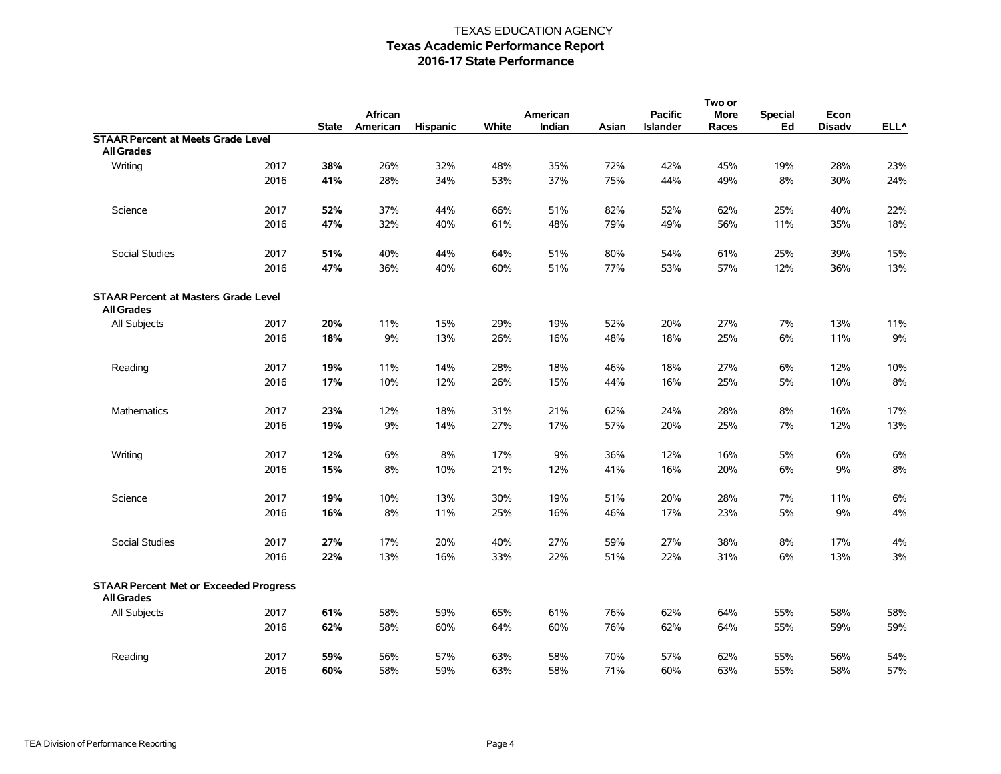|                                                                    |      |              |          |                 |       |          |       |                 | Two or      |                |               |       |
|--------------------------------------------------------------------|------|--------------|----------|-----------------|-------|----------|-------|-----------------|-------------|----------------|---------------|-------|
|                                                                    |      |              | African  |                 |       | American |       | <b>Pacific</b>  | <b>More</b> | <b>Special</b> | Econ          |       |
|                                                                    |      | <b>State</b> | American | <b>Hispanic</b> | White | Indian   | Asian | <b>Islander</b> | Races       | Ed             | <b>Disadv</b> | ELL^  |
| <b>STAAR Percent at Meets Grade Level</b>                          |      |              |          |                 |       |          |       |                 |             |                |               |       |
| <b>All Grades</b>                                                  |      |              |          |                 |       |          |       |                 |             |                |               |       |
| Writing                                                            | 2017 | 38%          | 26%      | 32%             | 48%   | 35%      | 72%   | 42%             | 45%         | 19%            | 28%           | 23%   |
|                                                                    | 2016 | 41%          | 28%      | 34%             | 53%   | 37%      | 75%   | 44%             | 49%         | 8%             | 30%           | 24%   |
| Science                                                            | 2017 | 52%          | 37%      | 44%             | 66%   | 51%      | 82%   | 52%             | 62%         | 25%            | 40%           | 22%   |
|                                                                    | 2016 | 47%          | 32%      | 40%             | 61%   | 48%      | 79%   | 49%             | 56%         | 11%            | 35%           | 18%   |
| Social Studies                                                     | 2017 | 51%          | 40%      | 44%             | 64%   | 51%      | 80%   | 54%             | 61%         | 25%            | 39%           | 15%   |
|                                                                    | 2016 | 47%          | 36%      | 40%             | 60%   | 51%      | 77%   | 53%             | 57%         | 12%            | 36%           | 13%   |
| <b>STAAR Percent at Masters Grade Level</b><br><b>All Grades</b>   |      |              |          |                 |       |          |       |                 |             |                |               |       |
| All Subjects                                                       | 2017 | 20%          | 11%      | 15%             | 29%   | 19%      | 52%   | 20%             | 27%         | 7%             | 13%           | 11%   |
|                                                                    | 2016 | 18%          | 9%       | 13%             | 26%   | 16%      | 48%   | 18%             | 25%         | 6%             | 11%           | 9%    |
| Reading                                                            | 2017 | 19%          | 11%      | 14%             | 28%   | 18%      | 46%   | 18%             | 27%         | 6%             | 12%           | 10%   |
|                                                                    | 2016 | 17%          | 10%      | 12%             | 26%   | 15%      | 44%   | 16%             | 25%         | 5%             | 10%           | 8%    |
| Mathematics                                                        | 2017 | 23%          | 12%      | 18%             | 31%   | 21%      | 62%   | 24%             | 28%         | 8%             | 16%           | 17%   |
|                                                                    | 2016 | 19%          | 9%       | 14%             | 27%   | 17%      | 57%   | 20%             | 25%         | 7%             | 12%           | 13%   |
| Writing                                                            | 2017 | 12%          | 6%       | 8%              | 17%   | 9%       | 36%   | 12%             | 16%         | 5%             | 6%            | 6%    |
|                                                                    | 2016 | 15%          | 8%       | 10%             | 21%   | 12%      | 41%   | 16%             | 20%         | 6%             | 9%            | $8\%$ |
| Science                                                            | 2017 | 19%          | 10%      | 13%             | 30%   | 19%      | 51%   | 20%             | 28%         | 7%             | 11%           | 6%    |
|                                                                    | 2016 | 16%          | 8%       | 11%             | 25%   | 16%      | 46%   | 17%             | 23%         | 5%             | 9%            | 4%    |
| Social Studies                                                     | 2017 | 27%          | 17%      | 20%             | 40%   | 27%      | 59%   | 27%             | 38%         | 8%             | 17%           | 4%    |
|                                                                    | 2016 | 22%          | 13%      | 16%             | 33%   | 22%      | 51%   | 22%             | 31%         | 6%             | 13%           | 3%    |
| <b>STAAR Percent Met or Exceeded Progress</b><br><b>All Grades</b> |      |              |          |                 |       |          |       |                 |             |                |               |       |
| All Subjects                                                       | 2017 | 61%          | 58%      | 59%             | 65%   | 61%      | 76%   | 62%             | 64%         | 55%            | 58%           | 58%   |
|                                                                    | 2016 | 62%          | 58%      | 60%             | 64%   | 60%      | 76%   | 62%             | 64%         | 55%            | 59%           | 59%   |
| Reading                                                            | 2017 | 59%          | 56%      | 57%             | 63%   | 58%      | 70%   | 57%             | 62%         | 55%            | 56%           | 54%   |
|                                                                    | 2016 | 60%          | 58%      | 59%             | 63%   | 58%      | 71%   | 60%             | 63%         | 55%            | 58%           | 57%   |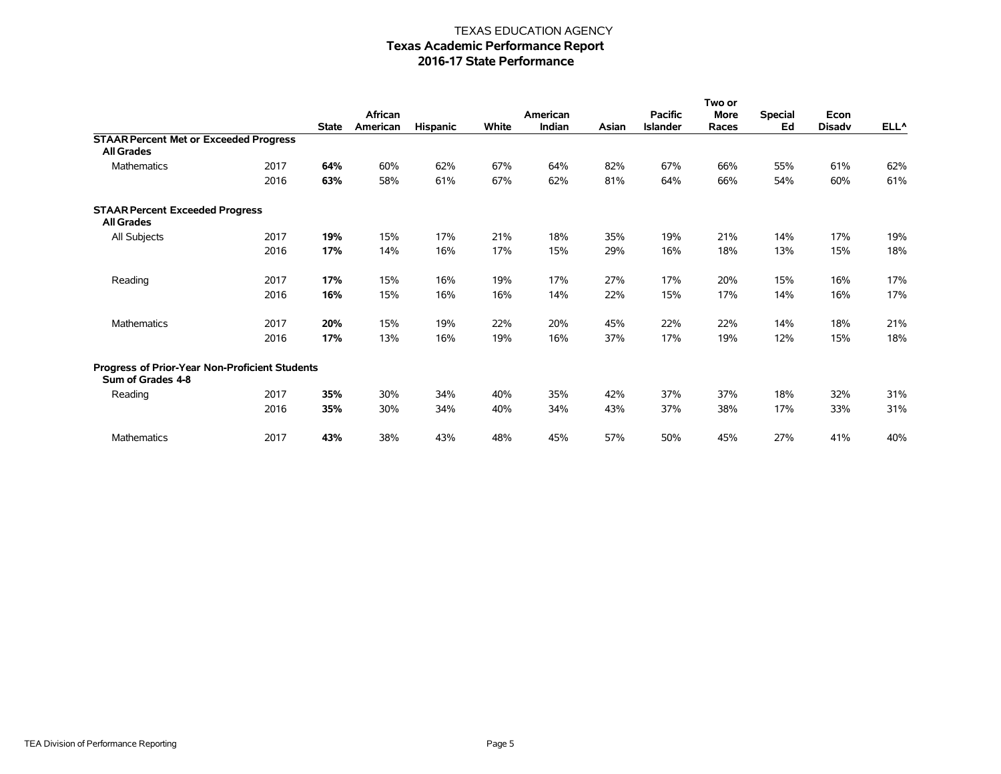|                                                                     |      |              |                     |                 |       |                    |       |                                   | Two or        |                      |                       |                  |
|---------------------------------------------------------------------|------|--------------|---------------------|-----------------|-------|--------------------|-------|-----------------------------------|---------------|----------------------|-----------------------|------------------|
|                                                                     |      | <b>State</b> | African<br>American | <b>Hispanic</b> | White | American<br>Indian | Asian | <b>Pacific</b><br><b>Islander</b> | More<br>Races | <b>Special</b><br>Ed | Econ<br><b>Disadv</b> | ELL <sup>^</sup> |
| <b>STAAR Percent Met or Exceeded Progress</b>                       |      |              |                     |                 |       |                    |       |                                   |               |                      |                       |                  |
| <b>All Grades</b>                                                   |      |              |                     |                 |       |                    |       |                                   |               |                      |                       |                  |
| <b>Mathematics</b>                                                  | 2017 | 64%          | 60%                 | 62%             | 67%   | 64%                | 82%   | 67%                               | 66%           | 55%                  | 61%                   | 62%              |
|                                                                     | 2016 | 63%          | 58%                 | 61%             | 67%   | 62%                | 81%   | 64%                               | 66%           | 54%                  | 60%                   | 61%              |
| <b>STAAR Percent Exceeded Progress</b><br><b>All Grades</b>         |      |              |                     |                 |       |                    |       |                                   |               |                      |                       |                  |
| All Subjects                                                        | 2017 | 19%          | 15%                 | 17%             | 21%   | 18%                | 35%   | 19%                               | 21%           | 14%                  | 17%                   | 19%              |
|                                                                     | 2016 | 17%          | 14%                 | 16%             | 17%   | 15%                | 29%   | 16%                               | 18%           | 13%                  | 15%                   | 18%              |
| Reading                                                             | 2017 | 17%          | 15%                 | 16%             | 19%   | 17%                | 27%   | 17%                               | 20%           | 15%                  | 16%                   | 17%              |
|                                                                     | 2016 | 16%          | 15%                 | 16%             | 16%   | 14%                | 22%   | 15%                               | 17%           | 14%                  | 16%                   | 17%              |
| <b>Mathematics</b>                                                  | 2017 | 20%          | 15%                 | 19%             | 22%   | 20%                | 45%   | 22%                               | 22%           | 14%                  | 18%                   | 21%              |
|                                                                     | 2016 | 17%          | 13%                 | 16%             | 19%   | 16%                | 37%   | 17%                               | 19%           | 12%                  | 15%                   | 18%              |
| Progress of Prior-Year Non-Proficient Students<br>Sum of Grades 4-8 |      |              |                     |                 |       |                    |       |                                   |               |                      |                       |                  |
| Reading                                                             | 2017 | 35%          | 30%                 | 34%             | 40%   | 35%                | 42%   | 37%                               | 37%           | 18%                  | 32%                   | 31%              |
|                                                                     | 2016 | 35%          | 30%                 | 34%             | 40%   | 34%                | 43%   | 37%                               | 38%           | 17%                  | 33%                   | 31%              |
| <b>Mathematics</b>                                                  | 2017 | 43%          | 38%                 | 43%             | 48%   | 45%                | 57%   | 50%                               | 45%           | 27%                  | 41%                   | 40%              |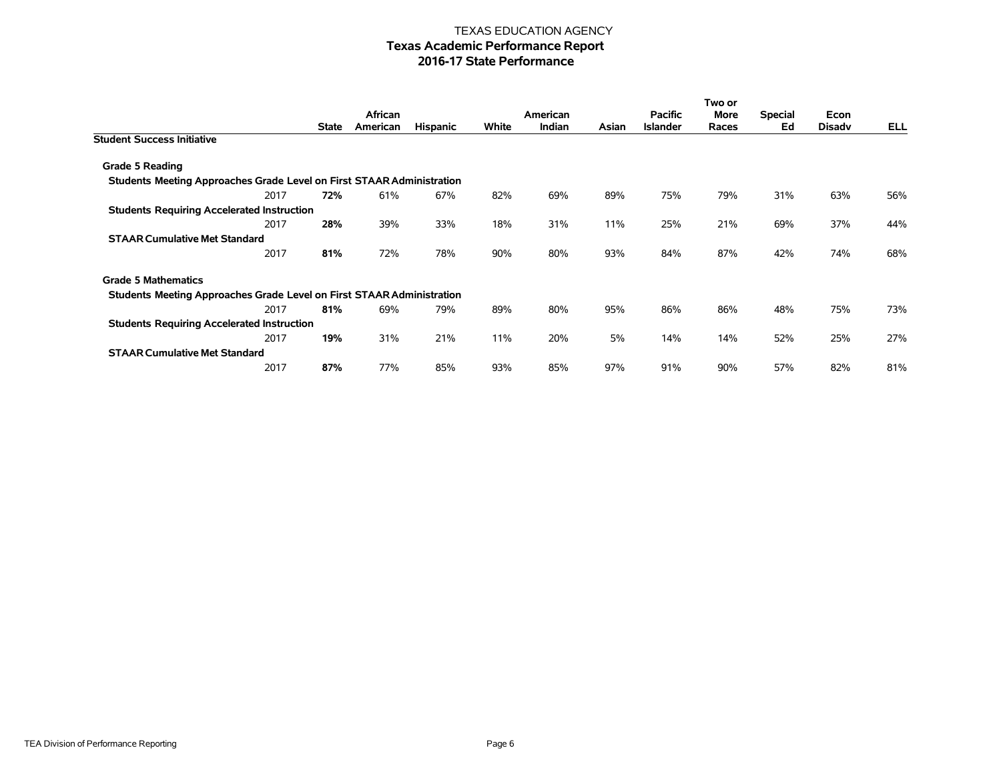|                                                                       |              |          |                 |       |          |       |                 | Two or |                |               |     |
|-----------------------------------------------------------------------|--------------|----------|-----------------|-------|----------|-------|-----------------|--------|----------------|---------------|-----|
|                                                                       |              | African  |                 |       | American |       | <b>Pacific</b>  | More   | <b>Special</b> | Econ          |     |
|                                                                       | <b>State</b> | American | <b>Hispanic</b> | White | Indian   | Asian | <b>Islander</b> | Races  | Ed             | <b>Disady</b> | ELL |
| <b>Student Success Initiative</b>                                     |              |          |                 |       |          |       |                 |        |                |               |     |
| Grade 5 Reading                                                       |              |          |                 |       |          |       |                 |        |                |               |     |
| Students Meeting Approaches Grade Level on First STAAR Administration |              |          |                 |       |          |       |                 |        |                |               |     |
| 2017                                                                  | 72%          | 61%      | 67%             | 82%   | 69%      | 89%   | 75%             | 79%    | 31%            | 63%           | 56% |
| <b>Students Requiring Accelerated Instruction</b>                     |              |          |                 |       |          |       |                 |        |                |               |     |
| 2017                                                                  | 28%          | 39%      | 33%             | 18%   | 31%      | 11%   | 25%             | 21%    | 69%            | 37%           | 44% |
| <b>STAAR Cumulative Met Standard</b>                                  |              |          |                 |       |          |       |                 |        |                |               |     |
| 2017                                                                  | 81%          | 72%      | 78%             | 90%   | 80%      | 93%   | 84%             | 87%    | 42%            | 74%           | 68% |
| <b>Grade 5 Mathematics</b>                                            |              |          |                 |       |          |       |                 |        |                |               |     |
| Students Meeting Approaches Grade Level on First STAAR Administration |              |          |                 |       |          |       |                 |        |                |               |     |
| 2017                                                                  | 81%          | 69%      | 79%             | 89%   | 80%      | 95%   | 86%             | 86%    | 48%            | 75%           | 73% |
| <b>Students Requiring Accelerated Instruction</b>                     |              |          |                 |       |          |       |                 |        |                |               |     |
| 2017                                                                  | 19%          | 31%      | 21%             | 11%   | 20%      | 5%    | 14%             | 14%    | 52%            | 25%           | 27% |
| <b>STAAR Cumulative Met Standard</b>                                  |              |          |                 |       |          |       |                 |        |                |               |     |
| 2017                                                                  | 87%          | 77%      | 85%             | 93%   | 85%      | 97%   | 91%             | 90%    | 57%            | 82%           | 81% |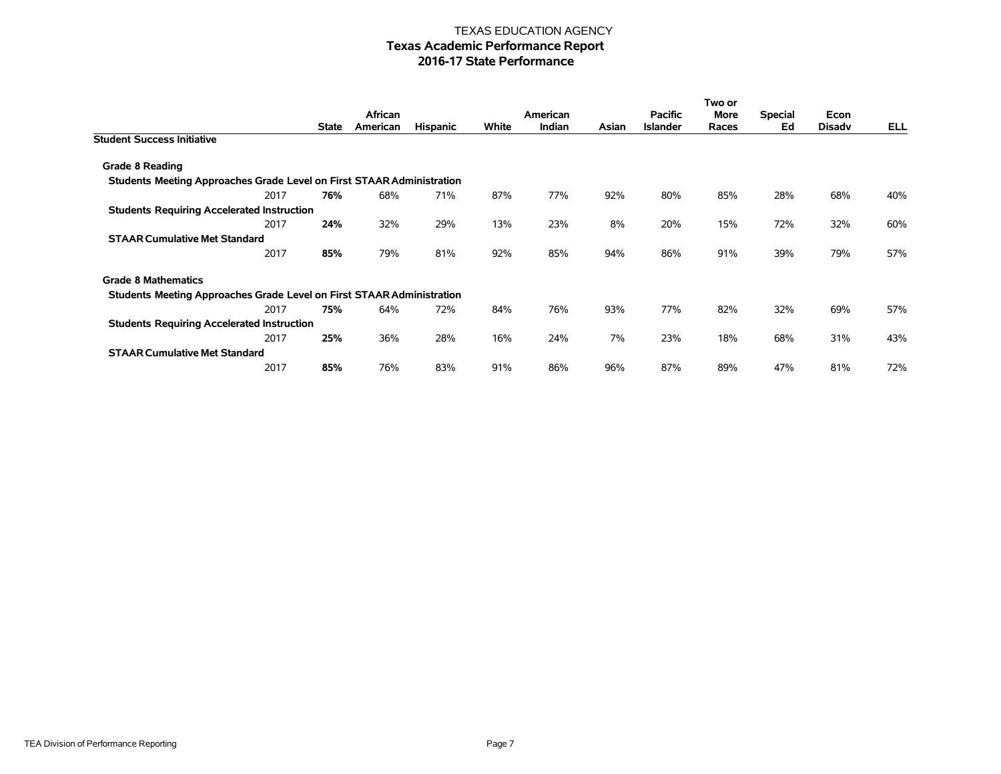|                                                                       |      |              |          |                 |       |          |       |                 | Two or |                |               |     |
|-----------------------------------------------------------------------|------|--------------|----------|-----------------|-------|----------|-------|-----------------|--------|----------------|---------------|-----|
|                                                                       |      |              | African  |                 |       | American |       | <b>Pacific</b>  | More   | <b>Special</b> | Econ          |     |
|                                                                       |      | <b>State</b> | American | <b>Hispanic</b> | White | Indian   | Asian | <b>Islander</b> | Races  | Ed             | <b>Disady</b> | ELL |
| <b>Student Success Initiative</b>                                     |      |              |          |                 |       |          |       |                 |        |                |               |     |
| Grade 8 Reading                                                       |      |              |          |                 |       |          |       |                 |        |                |               |     |
| Students Meeting Approaches Grade Level on First STAAR Administration |      |              |          |                 |       |          |       |                 |        |                |               |     |
|                                                                       | 2017 | 76%          | 68%      | 71%             | 87%   | 77%      | 92%   | 80%             | 85%    | 28%            | 68%           | 40% |
| <b>Students Requiring Accelerated Instruction</b>                     |      |              |          |                 |       |          |       |                 |        |                |               |     |
|                                                                       | 2017 | 24%          | 32%      | 29%             | 13%   | 23%      | 8%    | 20%             | 15%    | 72%            | 32%           | 60% |
| <b>STAAR Cumulative Met Standard</b>                                  |      |              |          |                 |       |          |       |                 |        |                |               |     |
|                                                                       | 2017 | 85%          | 79%      | 81%             | 92%   | 85%      | 94%   | 86%             | 91%    | 39%            | 79%           | 57% |
| <b>Grade 8 Mathematics</b>                                            |      |              |          |                 |       |          |       |                 |        |                |               |     |
| Students Meeting Approaches Grade Level on First STAAR Administration |      |              |          |                 |       |          |       |                 |        |                |               |     |
|                                                                       | 2017 | 75%          | 64%      | 72%             | 84%   | 76%      | 93%   | 77%             | 82%    | 32%            | 69%           | 57% |
| <b>Students Requiring Accelerated Instruction</b>                     |      |              |          |                 |       |          |       |                 |        |                |               |     |
|                                                                       | 2017 | 25%          | 36%      | 28%             | 16%   | 24%      | 7%    | 23%             | 18%    | 68%            | 31%           | 43% |
| <b>STAAR Cumulative Met Standard</b>                                  |      |              |          |                 |       |          |       |                 |        |                |               |     |
|                                                                       | 2017 | 85%          | 76%      | 83%             | 91%   | 86%      | 96%   | 87%             | 89%    | 47%            | 81%           | 72% |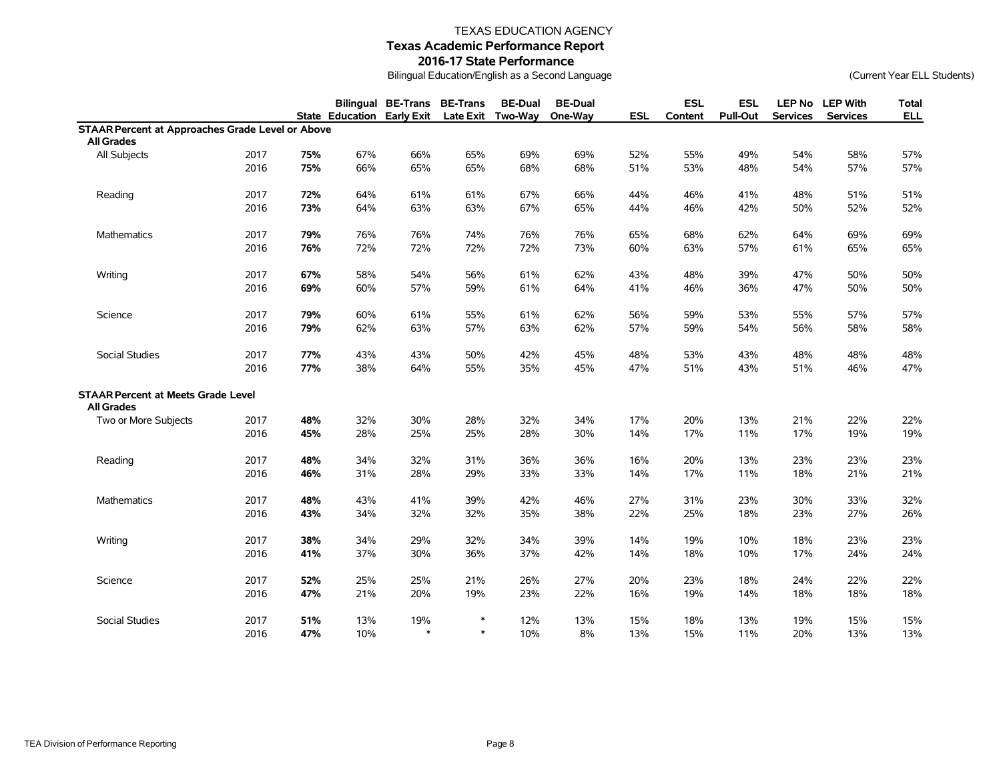# TEXAS EDUCATION AGENCY

# **Texas Academic Performance Report**

#### **2016-17 State Performance**

Bilingual Education/English as a Second Language (Current Year ELL Students)

|                                                         |      |     |                                   | Bilingual BE-Trans BE-Trans |        | <b>BE-Dual</b><br>Late Exit Two-Way | <b>BE-Dual</b><br>One-Way | <b>ESL</b> | <b>ESL</b> | <b>ESL</b><br><b>Pull-Out</b> | <b>LEP No</b>   | <b>LEP With</b><br><b>Services</b> | <b>Total</b> |
|---------------------------------------------------------|------|-----|-----------------------------------|-----------------------------|--------|-------------------------------------|---------------------------|------------|------------|-------------------------------|-----------------|------------------------------------|--------------|
| <b>STAAR Percent at Approaches Grade Level or Above</b> |      |     | <b>State Education Early Exit</b> |                             |        |                                     |                           |            | Content    |                               | <b>Services</b> |                                    | <b>ELL</b>   |
| <b>All Grades</b>                                       |      |     |                                   |                             |        |                                     |                           |            |            |                               |                 |                                    |              |
| All Subjects                                            | 2017 | 75% | 67%                               | 66%                         | 65%    | 69%                                 | 69%                       | 52%        | 55%        | 49%                           | 54%             | 58%                                | 57%          |
|                                                         | 2016 | 75% | 66%                               | 65%                         | 65%    | 68%                                 | 68%                       | 51%        | 53%        | 48%                           | 54%             | 57%                                | 57%          |
|                                                         |      |     |                                   |                             |        |                                     |                           |            |            |                               |                 |                                    |              |
| Reading                                                 | 2017 | 72% | 64%                               | 61%                         | 61%    | 67%                                 | 66%                       | 44%        | 46%        | 41%                           | 48%             | 51%                                | 51%          |
|                                                         | 2016 | 73% | 64%                               | 63%                         | 63%    | 67%                                 | 65%                       | 44%        | 46%        | 42%                           | 50%             | 52%                                | 52%          |
|                                                         |      |     |                                   |                             |        |                                     |                           |            |            |                               |                 |                                    |              |
| Mathematics                                             | 2017 | 79% | 76%                               | 76%                         | 74%    | 76%                                 | 76%                       | 65%        | 68%        | 62%                           | 64%             | 69%                                | 69%          |
|                                                         | 2016 | 76% | 72%                               | 72%                         | 72%    | 72%                                 | 73%                       | 60%        | 63%        | 57%                           | 61%             | 65%                                | 65%          |
| Writing                                                 | 2017 | 67% | 58%                               | 54%                         | 56%    | 61%                                 | 62%                       | 43%        | 48%        | 39%                           | 47%             | 50%                                | 50%          |
|                                                         | 2016 | 69% | 60%                               | 57%                         | 59%    | 61%                                 | 64%                       | 41%        | 46%        | 36%                           | 47%             | 50%                                | 50%          |
|                                                         |      |     |                                   |                             |        |                                     |                           |            |            |                               |                 |                                    |              |
| Science                                                 | 2017 | 79% | 60%                               | 61%                         | 55%    | 61%                                 | 62%                       | 56%        | 59%        | 53%                           | 55%             | 57%                                | 57%          |
|                                                         | 2016 | 79% | 62%                               | 63%                         | 57%    | 63%                                 | 62%                       | 57%        | 59%        | 54%                           | 56%             | 58%                                | 58%          |
| Social Studies                                          | 2017 | 77% | 43%                               | 43%                         | 50%    | 42%                                 | 45%                       | 48%        | 53%        | 43%                           | 48%             | 48%                                | 48%          |
|                                                         | 2016 | 77% | 38%                               | 64%                         | 55%    | 35%                                 | 45%                       | 47%        | 51%        | 43%                           | 51%             | 46%                                | 47%          |
| <b>STAAR Percent at Meets Grade Level</b>               |      |     |                                   |                             |        |                                     |                           |            |            |                               |                 |                                    |              |
| <b>All Grades</b>                                       | 2017 | 48% | 32%                               | 30%                         | 28%    | 32%                                 | 34%                       | 17%        | 20%        | 13%                           | 21%             | 22%                                |              |
| Two or More Subjects                                    | 2016 | 45% | 28%                               | 25%                         | 25%    | 28%                                 | 30%                       | 14%        | 17%        | 11%                           | 17%             | 19%                                | 22%<br>19%   |
|                                                         |      |     |                                   |                             |        |                                     |                           |            |            |                               |                 |                                    |              |
| Reading                                                 | 2017 | 48% | 34%                               | 32%                         | 31%    | 36%                                 | 36%                       | 16%        | 20%        | 13%                           | 23%             | 23%                                | 23%          |
|                                                         | 2016 | 46% | 31%                               | 28%                         | 29%    | 33%                                 | 33%                       | 14%        | 17%        | 11%                           | 18%             | 21%                                | 21%          |
| <b>Mathematics</b>                                      | 2017 | 48% | 43%                               | 41%                         | 39%    | 42%                                 | 46%                       | 27%        | 31%        | 23%                           | 30%             | 33%                                | 32%          |
|                                                         | 2016 | 43% | 34%                               | 32%                         | 32%    | 35%                                 | 38%                       | 22%        | 25%        | 18%                           | 23%             | 27%                                | 26%          |
|                                                         |      |     |                                   |                             |        |                                     |                           |            |            |                               |                 |                                    |              |
| Writing                                                 | 2017 | 38% | 34%                               | 29%                         | 32%    | 34%                                 | 39%                       | 14%        | 19%        | 10%                           | 18%             | 23%                                | 23%          |
|                                                         | 2016 | 41% | 37%                               | 30%                         | 36%    | 37%                                 | 42%                       | 14%        | 18%        | 10%                           | 17%             | 24%                                | 24%          |
| Science                                                 | 2017 | 52% | 25%                               | 25%                         | 21%    | 26%                                 | 27%                       | 20%        | 23%        | 18%                           | 24%             | 22%                                | 22%          |
|                                                         | 2016 | 47% | 21%                               | 20%                         | 19%    | 23%                                 | 22%                       | 16%        | 19%        | 14%                           | 18%             | 18%                                | 18%          |
|                                                         |      |     |                                   |                             |        |                                     |                           |            |            |                               |                 |                                    |              |
| Social Studies                                          | 2017 | 51% | 13%                               | 19%                         | $\ast$ | 12%                                 | 13%                       | 15%        | 18%        | 13%                           | 19%             | 15%                                | 15%          |
|                                                         | 2016 | 47% | 10%                               | $\ast$                      | $\ast$ | 10%                                 | 8%                        | 13%        | 15%        | 11%                           | 20%             | 13%                                | 13%          |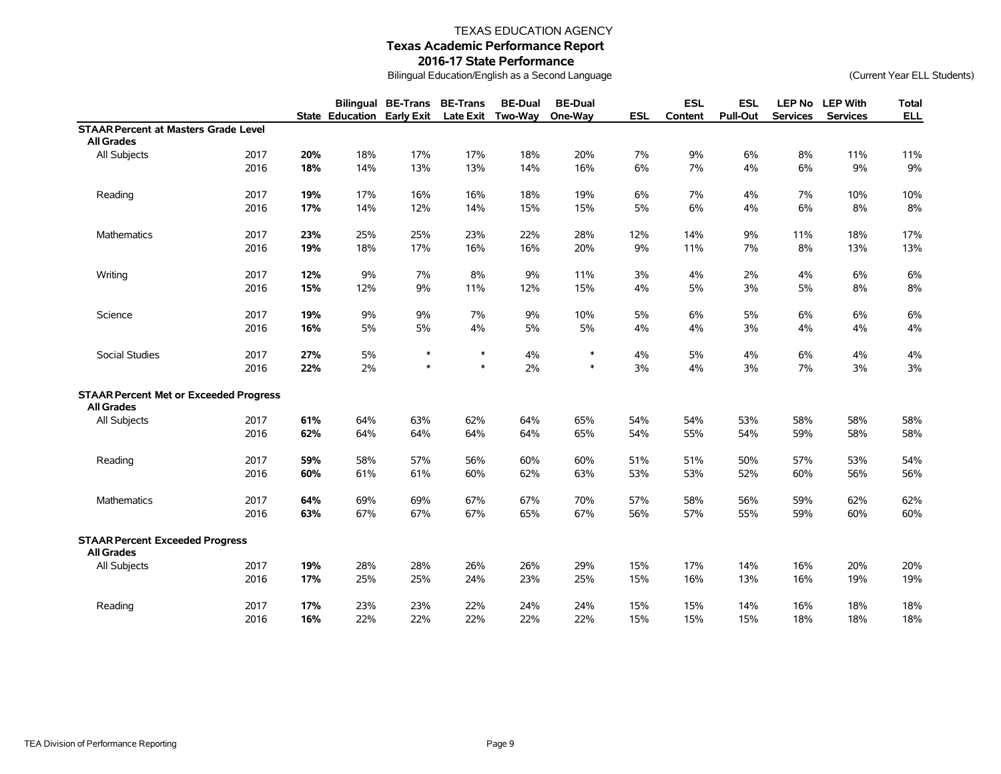# TEXAS EDUCATION AGENCY

**Texas Academic Performance Report**

#### **2016-17 State Performance**

Bilingual Education/English as a Second Language (Current Year ELL Students)

|                                               |      |     | <b>State Education Early Exit</b> | <b>Bilingual BE-Trans BE-Trans</b> | <b>Late Exit</b> | <b>BE-Dual</b><br><b>Two-Way</b> | <b>BE-Dual</b><br>One-Way | <b>ESL</b> | <b>ESL</b><br>Content | <b>ESL</b><br><b>Pull-Out</b> | <b>LEP No</b><br><b>Services</b> | <b>LEP With</b><br><b>Services</b> | <b>Total</b><br><b>ELL</b> |
|-----------------------------------------------|------|-----|-----------------------------------|------------------------------------|------------------|----------------------------------|---------------------------|------------|-----------------------|-------------------------------|----------------------------------|------------------------------------|----------------------------|
| <b>STAAR Percent at Masters Grade Level</b>   |      |     |                                   |                                    |                  |                                  |                           |            |                       |                               |                                  |                                    |                            |
| <b>All Grades</b>                             |      |     |                                   |                                    |                  |                                  |                           |            |                       |                               |                                  |                                    |                            |
| All Subjects                                  | 2017 | 20% | 18%                               | 17%                                | 17%              | 18%                              | 20%                       | 7%         | 9%                    | 6%                            | 8%                               | 11%                                | 11%                        |
|                                               | 2016 | 18% | 14%                               | 13%                                | 13%              | 14%                              | 16%                       | $6\%$      | 7%                    | 4%                            | 6%                               | 9%                                 | $9\%$                      |
|                                               |      |     |                                   |                                    |                  |                                  |                           |            |                       |                               |                                  |                                    |                            |
| Reading                                       | 2017 | 19% | 17%                               | 16%                                | 16%              | 18%                              | 19%                       | 6%         | 7%                    | 4%                            | 7%                               | 10%                                | 10%                        |
|                                               | 2016 | 17% | 14%                               | 12%                                | 14%              | 15%                              | 15%                       | 5%         | $6\%$                 | 4%                            | 6%                               | 8%                                 | $8\%$                      |
|                                               |      |     |                                   |                                    |                  |                                  |                           |            |                       |                               |                                  |                                    |                            |
| <b>Mathematics</b>                            | 2017 | 23% | 25%                               | 25%                                | 23%              | 22%                              | 28%                       | 12%        | 14%                   | 9%                            | 11%                              | 18%                                | 17%                        |
|                                               | 2016 | 19% | 18%                               | 17%                                | 16%              | 16%                              | 20%                       | 9%         | 11%                   | 7%                            | 8%                               | 13%                                | 13%                        |
|                                               |      |     |                                   |                                    |                  |                                  |                           |            |                       |                               |                                  |                                    |                            |
| Writing                                       | 2017 | 12% | 9%                                | 7%                                 | 8%               | 9%                               | 11%                       | 3%         | 4%                    | 2%                            | 4%                               | 6%                                 | $6\%$                      |
|                                               | 2016 | 15% | 12%                               | 9%                                 | 11%              | 12%                              | 15%                       | 4%         | 5%                    | 3%                            | 5%                               | 8%                                 | $8\%$                      |
|                                               |      |     |                                   |                                    |                  |                                  |                           |            |                       |                               |                                  |                                    |                            |
| Science                                       | 2017 | 19% | 9%                                | 9%                                 | 7%               | 9%                               | 10%                       | 5%         | 6%                    | 5%                            | 6%                               | 6%                                 | $6\%$                      |
|                                               | 2016 | 16% | 5%                                | 5%                                 | 4%               | 5%                               | 5%                        | 4%         | 4%                    | 3%                            | 4%                               | 4%                                 | 4%                         |
|                                               |      |     |                                   |                                    |                  |                                  |                           |            |                       |                               |                                  |                                    |                            |
| Social Studies                                | 2017 | 27% | $5\%$                             | $\ast$                             | $\ast$           | 4%                               | $\ast$                    | 4%         | 5%                    | 4%                            | $6\%$                            | 4%                                 | $4\%$                      |
|                                               | 2016 | 22% | 2%                                | $\ast$                             | $\ast$           | 2%                               | $\ast$                    | 3%         | 4%                    | 3%                            | $7\%$                            | 3%                                 | 3%                         |
| <b>STAAR Percent Met or Exceeded Progress</b> |      |     |                                   |                                    |                  |                                  |                           |            |                       |                               |                                  |                                    |                            |
| <b>All Grades</b>                             |      |     |                                   |                                    |                  |                                  |                           |            |                       |                               |                                  |                                    |                            |
| All Subjects                                  | 2017 | 61% | 64%                               | 63%                                | 62%              | 64%                              | 65%                       | 54%        | 54%                   | 53%                           | 58%                              | 58%                                | 58%                        |
|                                               | 2016 | 62% | 64%                               | 64%                                | 64%              | 64%                              | 65%                       | 54%        | 55%                   | 54%                           | 59%                              | 58%                                | 58%                        |
| Reading                                       | 2017 | 59% | 58%                               | 57%                                | 56%              | 60%                              | 60%                       | 51%        | 51%                   | 50%                           | 57%                              | 53%                                | 54%                        |
|                                               | 2016 | 60% | 61%                               | 61%                                | 60%              | 62%                              | 63%                       | 53%        | 53%                   | 52%                           | 60%                              | 56%                                | 56%                        |
|                                               |      |     |                                   |                                    |                  |                                  |                           |            |                       |                               |                                  |                                    |                            |
| Mathematics                                   | 2017 | 64% | 69%                               | 69%                                | 67%              | 67%                              | 70%                       | 57%        | 58%                   | 56%                           | 59%                              | 62%                                | 62%                        |
|                                               | 2016 | 63% | 67%                               | 67%                                | 67%              | 65%                              | 67%                       | 56%        | 57%                   | 55%                           | 59%                              | 60%                                | 60%                        |
|                                               |      |     |                                   |                                    |                  |                                  |                           |            |                       |                               |                                  |                                    |                            |
| <b>STAAR Percent Exceeded Progress</b>        |      |     |                                   |                                    |                  |                                  |                           |            |                       |                               |                                  |                                    |                            |
| <b>All Grades</b>                             |      |     |                                   |                                    |                  |                                  |                           |            |                       |                               |                                  |                                    |                            |
| All Subjects                                  | 2017 | 19% | 28%                               | 28%                                | 26%              | 26%                              | 29%                       | 15%        | 17%                   | 14%                           | 16%                              | 20%                                | 20%                        |
|                                               | 2016 | 17% | 25%                               | 25%                                | 24%              | 23%                              | 25%                       | 15%        | 16%                   | 13%                           | 16%                              | 19%                                | 19%                        |
| Reading                                       | 2017 | 17% | 23%                               | 23%                                | 22%              | 24%                              | 24%                       | 15%        | 15%                   | 14%                           | 16%                              | 18%                                | 18%                        |
|                                               | 2016 | 16% | 22%                               | 22%                                | 22%              | 22%                              | 22%                       | 15%        | 15%                   | 15%                           | 18%                              | 18%                                | 18%                        |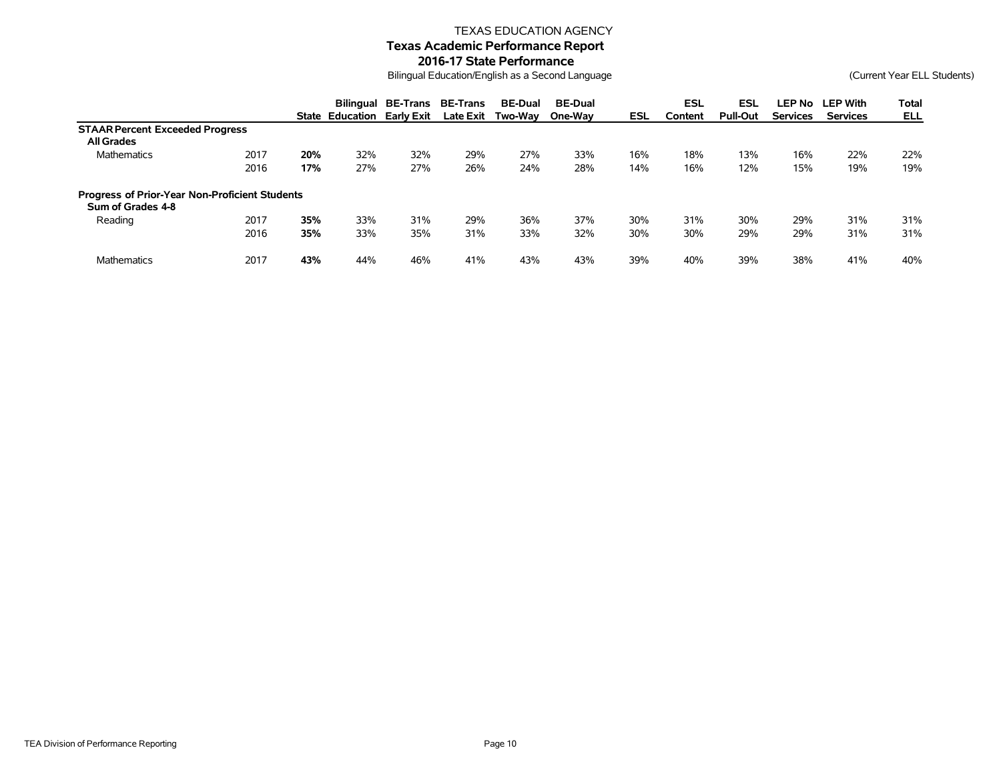#### TEXAS EDUCATION AGENCY

# **Texas Academic Performance Report**

#### **2016-17 State Performance**

Bilingual Education/English as a Second Language (Current Year ELL Students)

|                                                                     |      |     | <b>State Education</b> | <b>Bilingual BE-Trans</b><br>Early Exit | <b>BE-Trans</b><br><b>Late Exit</b> | <b>BE-Dual</b><br>Two-Wav | <b>BE-Dual</b><br>One-Wav | ESL | ESL<br>Content | <b>ESL</b><br><b>Pull-Out</b> | LEP No<br><b>Services</b> | <b>LEP With</b><br><b>Services</b> | Total<br>ELL |
|---------------------------------------------------------------------|------|-----|------------------------|-----------------------------------------|-------------------------------------|---------------------------|---------------------------|-----|----------------|-------------------------------|---------------------------|------------------------------------|--------------|
| <b>STAAR Percent Exceeded Progress</b>                              |      |     |                        |                                         |                                     |                           |                           |     |                |                               |                           |                                    |              |
| <b>All Grades</b>                                                   |      |     |                        |                                         |                                     |                           |                           |     |                |                               |                           |                                    |              |
| <b>Mathematics</b>                                                  | 2017 | 20% | 32%                    | 32%                                     | 29%                                 | 27%                       | 33%                       | 16% | 18%            | 13%                           | 16%                       | 22%                                | 22%          |
|                                                                     | 2016 | 17% | 27%                    | 27%                                     | 26%                                 | 24%                       | 28%                       | 14% | 16%            | 12%                           | 15%                       | 19%                                | 19%          |
| Progress of Prior-Year Non-Proficient Students<br>Sum of Grades 4-8 |      |     |                        |                                         |                                     |                           |                           |     |                |                               |                           |                                    |              |
| Reading                                                             | 2017 | 35% | 33%                    | 31%                                     | 29%                                 | 36%                       | 37%                       | 30% | 31%            | 30%                           | 29%                       | 31%                                | 31%          |
|                                                                     | 2016 | 35% | 33%                    | 35%                                     | 31%                                 | 33%                       | 32%                       | 30% | 30%            | 29%                           | 29%                       | 31%                                | 31%          |
| <b>Mathematics</b>                                                  | 2017 | 43% | 44%                    | 46%                                     | 41%                                 | 43%                       | 43%                       | 39% | 40%            | 39%                           | 38%                       | 41%                                | 40%          |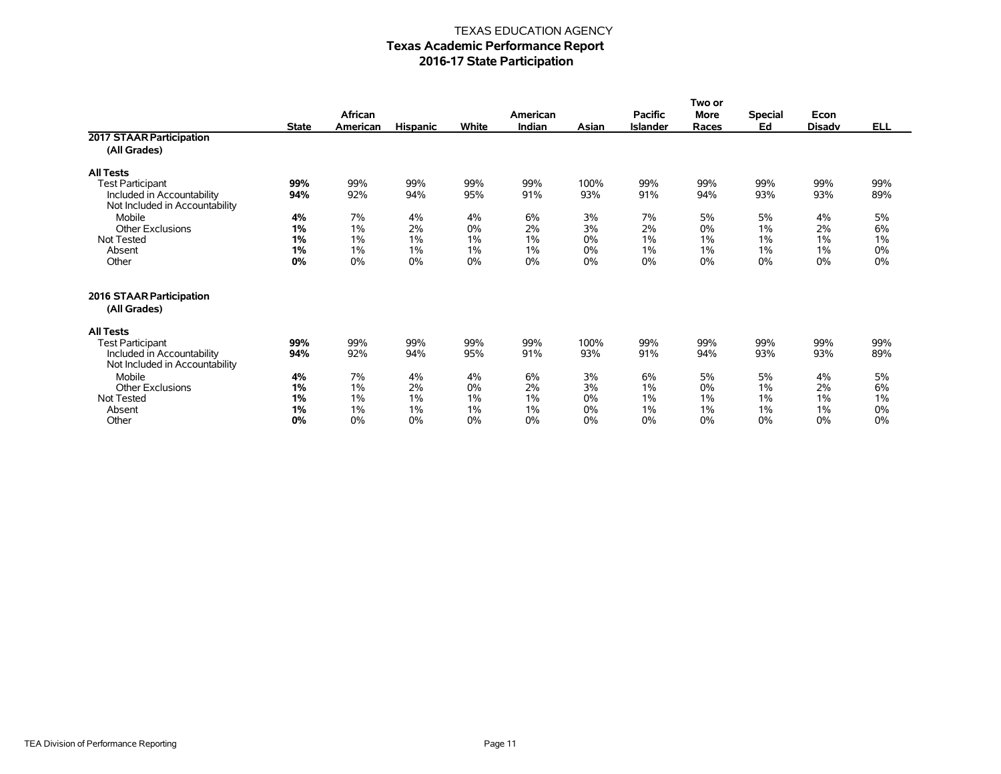|                                                              | Two or       |          |                 |       |          |       |                |             |                |               |            |
|--------------------------------------------------------------|--------------|----------|-----------------|-------|----------|-------|----------------|-------------|----------------|---------------|------------|
|                                                              |              | African  |                 |       | American |       | <b>Pacific</b> | <b>More</b> | <b>Special</b> | Econ          |            |
|                                                              | <b>State</b> | American | <b>Hispanic</b> | White | Indian   | Asian | Islander       | Races       | Ed             | <b>Disadv</b> | <b>ELL</b> |
| 2017 STAAR Participation                                     |              |          |                 |       |          |       |                |             |                |               |            |
| (All Grades)                                                 |              |          |                 |       |          |       |                |             |                |               |            |
| <b>All Tests</b>                                             |              |          |                 |       |          |       |                |             |                |               |            |
| <b>Test Participant</b>                                      | 99%          | 99%      | 99%             | 99%   | 99%      | 100%  | 99%            | 99%         | 99%            | 99%           | 99%        |
| Included in Accountability                                   | 94%          | 92%      | 94%             | 95%   | 91%      | 93%   | 91%            | 94%         | 93%            | 93%           | 89%        |
| Not Included in Accountability                               |              |          |                 |       |          |       |                |             |                |               |            |
| Mobile                                                       | 4%           | 7%       | 4%              | 4%    | 6%       | 3%    | 7%             | 5%          | 5%             | 4%            | 5%         |
| <b>Other Exclusions</b>                                      | 1%           | 1%       | 2%              | 0%    | 2%       | 3%    | 2%             | 0%          | 1%             | 2%            | 6%         |
| Not Tested                                                   | 1%           | 1%       | 1%              | 1%    | 1%       | 0%    | 1%             | 1%          | 1%             | 1%            | 1%         |
| Absent                                                       | 1%           | 1%       | 1%              | 1%    | 1%       | 0%    | 1%             | 1%          | 1%             | 1%            | 0%         |
| Other                                                        | 0%           | 0%       | $0\%$           | 0%    | $0\%$    | 0%    | 0%             | 0%          | 0%             | 0%            | 0%         |
| 2016 STAAR Participation<br>(All Grades)                     |              |          |                 |       |          |       |                |             |                |               |            |
| <b>All Tests</b>                                             |              |          |                 |       |          |       |                |             |                |               |            |
| <b>Test Participant</b>                                      | 99%          | 99%      | 99%             | 99%   | 99%      | 100%  | 99%            | 99%         | 99%            | 99%           | 99%        |
| Included in Accountability<br>Not Included in Accountability | 94%          | 92%      | 94%             | 95%   | 91%      | 93%   | 91%            | 94%         | 93%            | 93%           | 89%        |
| Mobile                                                       | 4%           | 7%       | 4%              | 4%    | 6%       | 3%    | 6%             | 5%          | 5%             | 4%            | 5%         |
| <b>Other Exclusions</b>                                      | 1%           | 1%       | 2%              | 0%    | 2%       | 3%    | 1%             | 0%          | 1%             | 2%            | 6%         |
| Not Tested                                                   | 1%           | 1%       | 1%              | 1%    | $1\%$    | 0%    | 1%             | 1%          | 1%             | 1%            | 1%         |
| Absent                                                       | 1%           | 1%       | 1%              | 1%    | 1%       | 0%    | 1%             | 1%          | 1%             | 1%            | 0%         |
| Other                                                        | 0%           | 0%       | 0%              | 0%    | $0\%$    | 0%    | 0%             | 0%          | $0\%$          | 0%            | 0%         |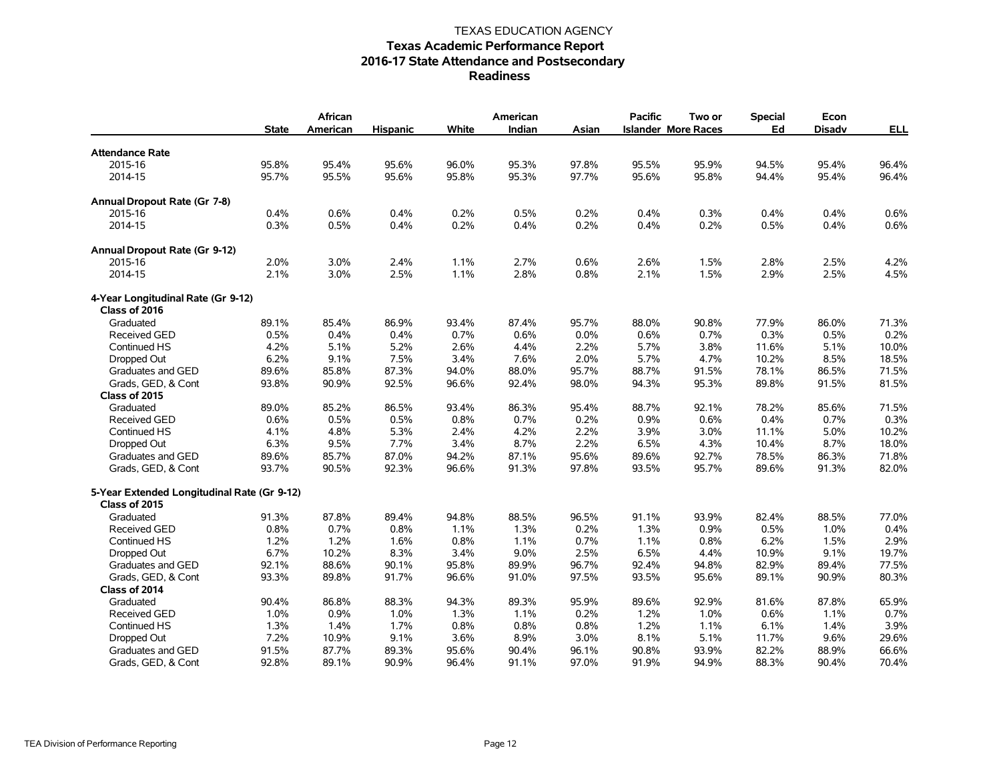|                                             | <b>State</b> | African<br>American | <b>Hispanic</b> | White | American<br>Indian | Asian | <b>Pacific</b> | Two or<br><b>Islander More Races</b> | Special<br>Ed | Econ<br><b>Disadv</b> | <u>ELL</u> |
|---------------------------------------------|--------------|---------------------|-----------------|-------|--------------------|-------|----------------|--------------------------------------|---------------|-----------------------|------------|
| <b>Attendance Rate</b>                      |              |                     |                 |       |                    |       |                |                                      |               |                       |            |
| 2015-16                                     | 95.8%        | 95.4%               | 95.6%           | 96.0% | 95.3%              | 97.8% | 95.5%          | 95.9%                                | 94.5%         | 95.4%                 | 96.4%      |
| 2014-15                                     | 95.7%        | 95.5%               | 95.6%           | 95.8% | 95.3%              | 97.7% | 95.6%          | 95.8%                                | 94.4%         | 95.4%                 | 96.4%      |
| Annual Dropout Rate (Gr 7-8)                |              |                     |                 |       |                    |       |                |                                      |               |                       |            |
| 2015-16                                     | 0.4%         | 0.6%                | 0.4%            | 0.2%  | 0.5%               | 0.2%  | 0.4%           | 0.3%                                 | 0.4%          | 0.4%                  | 0.6%       |
| 2014-15                                     | 0.3%         | 0.5%                | 0.4%            | 0.2%  | 0.4%               | 0.2%  | 0.4%           | 0.2%                                 | 0.5%          | 0.4%                  | 0.6%       |
| Annual Dropout Rate (Gr 9-12)               |              |                     |                 |       |                    |       |                |                                      |               |                       |            |
| 2015-16                                     | 2.0%         | 3.0%                | 2.4%            | 1.1%  | 2.7%               | 0.6%  | 2.6%           | 1.5%                                 | 2.8%          | 2.5%                  | 4.2%       |
| 2014-15                                     | 2.1%         | 3.0%                | 2.5%            | 1.1%  | 2.8%               | 0.8%  | 2.1%           | 1.5%                                 | 2.9%          | 2.5%                  | 4.5%       |
| 4-Year Longitudinal Rate (Gr 9-12)          |              |                     |                 |       |                    |       |                |                                      |               |                       |            |
| Class of 2016                               |              |                     |                 |       |                    |       |                |                                      |               |                       |            |
| Graduated                                   | 89.1%        | 85.4%               | 86.9%           | 93.4% | 87.4%              | 95.7% | 88.0%          | 90.8%                                | 77.9%         | 86.0%                 | 71.3%      |
| Received GED                                | 0.5%         | 0.4%                | 0.4%            | 0.7%  | 0.6%               | 0.0%  | 0.6%           | 0.7%                                 | 0.3%          | 0.5%                  | 0.2%       |
| Continued HS                                | 4.2%         | 5.1%                | 5.2%            | 2.6%  | 4.4%               | 2.2%  | 5.7%           | 3.8%                                 | 11.6%         | 5.1%                  | 10.0%      |
| Dropped Out                                 | 6.2%         | 9.1%                | 7.5%            | 3.4%  | 7.6%               | 2.0%  | 5.7%           | 4.7%                                 | 10.2%         | 8.5%                  | 18.5%      |
| Graduates and GED                           | 89.6%        | 85.8%               | 87.3%           | 94.0% | 88.0%              | 95.7% | 88.7%          | 91.5%                                | 78.1%         | 86.5%                 | 71.5%      |
| Grads, GED, & Cont                          | 93.8%        | 90.9%               | 92.5%           | 96.6% | 92.4%              | 98.0% | 94.3%          | 95.3%                                | 89.8%         | 91.5%                 | 81.5%      |
| Class of 2015                               |              |                     |                 |       |                    |       |                |                                      |               |                       |            |
| Graduated                                   | 89.0%        | 85.2%               | 86.5%           | 93.4% | 86.3%              | 95.4% | 88.7%          | 92.1%                                | 78.2%         | 85.6%                 | 71.5%      |
| <b>Received GED</b>                         | 0.6%         | 0.5%                | 0.5%            | 0.8%  | 0.7%               | 0.2%  | 0.9%           | 0.6%                                 | 0.4%          | 0.7%                  | 0.3%       |
| Continued HS                                | 4.1%         | 4.8%                | 5.3%            | 2.4%  | 4.2%               | 2.2%  | 3.9%           | 3.0%                                 | 11.1%         | 5.0%                  | 10.2%      |
| Dropped Out                                 | 6.3%         | 9.5%                | 7.7%            | 3.4%  | 8.7%               | 2.2%  | 6.5%           | 4.3%                                 | 10.4%         | 8.7%                  | 18.0%      |
| Graduates and GED                           | 89.6%        | 85.7%               | 87.0%           | 94.2% | 87.1%              | 95.6% | 89.6%          | 92.7%                                | 78.5%         | 86.3%                 | 71.8%      |
| Grads, GED, & Cont                          | 93.7%        | 90.5%               | 92.3%           | 96.6% | 91.3%              | 97.8% | 93.5%          | 95.7%                                | 89.6%         | 91.3%                 | 82.0%      |
| 5-Year Extended Longitudinal Rate (Gr 9-12) |              |                     |                 |       |                    |       |                |                                      |               |                       |            |
| Class of 2015                               |              |                     |                 |       |                    |       |                |                                      |               |                       |            |
| Graduated                                   | 91.3%        | 87.8%               | 89.4%           | 94.8% | 88.5%              | 96.5% | 91.1%          | 93.9%                                | 82.4%         | 88.5%                 | 77.0%      |
| Received GED                                | 0.8%         | 0.7%                | 0.8%            | 1.1%  | 1.3%               | 0.2%  | 1.3%           | 0.9%                                 | 0.5%          | 1.0%                  | 0.4%       |
| Continued HS                                | 1.2%         | 1.2%                | 1.6%            | 0.8%  | 1.1%               | 0.7%  | 1.1%           | 0.8%                                 | 6.2%          | 1.5%                  | 2.9%       |
| Dropped Out                                 | 6.7%         | 10.2%               | 8.3%            | 3.4%  | 9.0%               | 2.5%  | 6.5%           | 4.4%                                 | 10.9%         | 9.1%                  | 19.7%      |
| Graduates and GED                           | 92.1%        | 88.6%               | 90.1%           | 95.8% | 89.9%              | 96.7% | 92.4%          | 94.8%                                | 82.9%         | 89.4%                 | 77.5%      |
| Grads, GED, & Cont                          | 93.3%        | 89.8%               | 91.7%           | 96.6% | 91.0%              | 97.5% | 93.5%          | 95.6%                                | 89.1%         | 90.9%                 | 80.3%      |
| Class of 2014                               |              |                     |                 |       |                    |       |                |                                      |               |                       |            |
| Graduated                                   | 90.4%        | 86.8%               | 88.3%           | 94.3% | 89.3%              | 95.9% | 89.6%          | 92.9%                                | 81.6%         | 87.8%                 | 65.9%      |
| <b>Received GED</b>                         | 1.0%         | 0.9%                | 1.0%            | 1.3%  | 1.1%               | 0.2%  | 1.2%           | 1.0%                                 | 0.6%          | 1.1%                  | 0.7%       |
| Continued HS                                | 1.3%         | 1.4%                | 1.7%            | 0.8%  | 0.8%               | 0.8%  | 1.2%           | 1.1%                                 | 6.1%          | 1.4%                  | 3.9%       |
| Dropped Out                                 | 7.2%         | 10.9%               | 9.1%            | 3.6%  | 8.9%               | 3.0%  | 8.1%           | 5.1%                                 | 11.7%         | 9.6%                  | 29.6%      |
| Graduates and GED                           | 91.5%        | 87.7%               | 89.3%           | 95.6% | 90.4%              | 96.1% | 90.8%          | 93.9%                                | 82.2%         | 88.9%                 | 66.6%      |
| Grads, GED, & Cont                          | 92.8%        | 89.1%               | 90.9%           | 96.4% | 91.1%              | 97.0% | 91.9%          | 94.9%                                | 88.3%         | 90.4%                 | 70.4%      |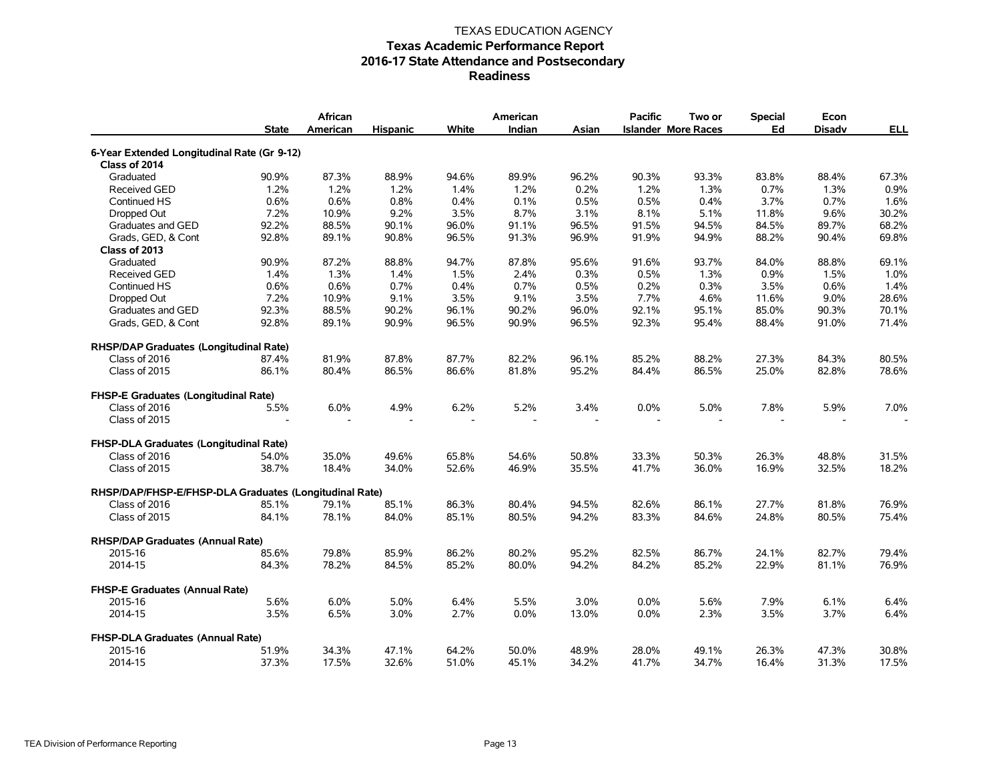|                                                        | <b>State</b> | African<br>American | <b>Hispanic</b> | White | American<br>Indian | Asian | <b>Pacific</b> | Two or<br><b>Islander More Races</b> | <b>Special</b><br>Ed | Econ<br><b>Disadv</b> | <b>ELL</b> |
|--------------------------------------------------------|--------------|---------------------|-----------------|-------|--------------------|-------|----------------|--------------------------------------|----------------------|-----------------------|------------|
| 6-Year Extended Longitudinal Rate (Gr 9-12)            |              |                     |                 |       |                    |       |                |                                      |                      |                       |            |
| Class of 2014                                          |              |                     |                 |       |                    |       |                |                                      |                      |                       |            |
| Graduated                                              | 90.9%        | 87.3%               | 88.9%           | 94.6% | 89.9%              | 96.2% | 90.3%          | 93.3%                                | 83.8%                | 88.4%                 | 67.3%      |
| <b>Received GED</b>                                    | 1.2%         | 1.2%                | 1.2%            | 1.4%  | 1.2%               | 0.2%  | 1.2%           | 1.3%                                 | 0.7%                 | 1.3%                  | 0.9%       |
| Continued HS                                           | 0.6%         | 0.6%                | 0.8%            | 0.4%  | 0.1%               | 0.5%  | 0.5%           | 0.4%                                 | 3.7%                 | 0.7%                  | 1.6%       |
| Dropped Out                                            | 7.2%         | 10.9%               | 9.2%            | 3.5%  | 8.7%               | 3.1%  | 8.1%           | 5.1%                                 | 11.8%                | 9.6%                  | 30.2%      |
| Graduates and GED                                      | 92.2%        | 88.5%               | 90.1%           | 96.0% | 91.1%              | 96.5% | 91.5%          | 94.5%                                | 84.5%                | 89.7%                 | 68.2%      |
| Grads, GED, & Cont                                     | 92.8%        | 89.1%               | 90.8%           | 96.5% | 91.3%              | 96.9% | 91.9%          | 94.9%                                | 88.2%                | 90.4%                 | 69.8%      |
| Class of 2013                                          |              |                     |                 |       |                    |       |                |                                      |                      |                       |            |
| Graduated                                              | 90.9%        | 87.2%               | 88.8%           | 94.7% | 87.8%              | 95.6% | 91.6%          | 93.7%                                | 84.0%                | 88.8%                 | 69.1%      |
| <b>Received GED</b>                                    | 1.4%         | 1.3%                | 1.4%            | 1.5%  | 2.4%               | 0.3%  | 0.5%           | 1.3%                                 | 0.9%                 | 1.5%                  | 1.0%       |
| Continued HS                                           | 0.6%         | 0.6%                | 0.7%            | 0.4%  | 0.7%               | 0.5%  | 0.2%           | 0.3%                                 | 3.5%                 | 0.6%                  | 1.4%       |
| Dropped Out                                            | 7.2%         | 10.9%               | 9.1%            | 3.5%  | 9.1%               | 3.5%  | 7.7%           | 4.6%                                 | 11.6%                | 9.0%                  | 28.6%      |
| Graduates and GED                                      | 92.3%        | 88.5%               | 90.2%           | 96.1% | 90.2%              | 96.0% | 92.1%          | 95.1%                                | 85.0%                | 90.3%                 | 70.1%      |
| Grads, GED, & Cont                                     | 92.8%        | 89.1%               | 90.9%           | 96.5% | 90.9%              | 96.5% | 92.3%          | 95.4%                                | 88.4%                | 91.0%                 | 71.4%      |
| RHSP/DAP Graduates (Longitudinal Rate)                 |              |                     |                 |       |                    |       |                |                                      |                      |                       |            |
| Class of 2016                                          | 87.4%        | 81.9%               | 87.8%           | 87.7% | 82.2%              | 96.1% | 85.2%          | 88.2%                                | 27.3%                | 84.3%                 | 80.5%      |
| Class of 2015                                          | 86.1%        | 80.4%               | 86.5%           | 86.6% | 81.8%              | 95.2% | 84.4%          | 86.5%                                | 25.0%                | 82.8%                 | 78.6%      |
| FHSP-E Graduates (Longitudinal Rate)                   |              |                     |                 |       |                    |       |                |                                      |                      |                       |            |
| Class of 2016                                          | 5.5%         | 6.0%                | 4.9%            | 6.2%  | 5.2%               | 3.4%  | 0.0%           | 5.0%                                 | 7.8%                 | 5.9%                  | 7.0%       |
| Class of 2015                                          |              |                     |                 |       |                    |       |                |                                      |                      |                       |            |
| <b>FHSP-DLA Graduates (Longitudinal Rate)</b>          |              |                     |                 |       |                    |       |                |                                      |                      |                       |            |
| Class of 2016                                          | 54.0%        | 35.0%               | 49.6%           | 65.8% | 54.6%              | 50.8% | 33.3%          | 50.3%                                | 26.3%                | 48.8%                 | 31.5%      |
| Class of 2015                                          | 38.7%        | 18.4%               | 34.0%           | 52.6% | 46.9%              | 35.5% | 41.7%          | 36.0%                                | 16.9%                | 32.5%                 | 18.2%      |
| RHSP/DAP/FHSP-E/FHSP-DLA Graduates (Longitudinal Rate) |              |                     |                 |       |                    |       |                |                                      |                      |                       |            |
| Class of 2016                                          | 85.1%        | 79.1%               | 85.1%           | 86.3% | 80.4%              | 94.5% | 82.6%          | 86.1%                                | 27.7%                | 81.8%                 | 76.9%      |
| Class of 2015                                          | 84.1%        | 78.1%               | 84.0%           | 85.1% | 80.5%              | 94.2% | 83.3%          | 84.6%                                | 24.8%                | 80.5%                 | 75.4%      |
| <b>RHSP/DAP Graduates (Annual Rate)</b>                |              |                     |                 |       |                    |       |                |                                      |                      |                       |            |
| 2015-16                                                | 85.6%        | 79.8%               | 85.9%           | 86.2% | 80.2%              | 95.2% | 82.5%          | 86.7%                                | 24.1%                | 82.7%                 | 79.4%      |
| 2014-15                                                | 84.3%        | 78.2%               | 84.5%           | 85.2% | 80.0%              | 94.2% | 84.2%          | 85.2%                                | 22.9%                | 81.1%                 | 76.9%      |
| <b>FHSP-E Graduates (Annual Rate)</b>                  |              |                     |                 |       |                    |       |                |                                      |                      |                       |            |
| 2015-16                                                | 5.6%         | 6.0%                | 5.0%            | 6.4%  | 5.5%               | 3.0%  | 0.0%           | 5.6%                                 | 7.9%                 | 6.1%                  | 6.4%       |
| 2014-15                                                | 3.5%         | 6.5%                | 3.0%            | 2.7%  | 0.0%               | 13.0% | 0.0%           | 2.3%                                 | 3.5%                 | 3.7%                  | 6.4%       |
| FHSP-DLA Graduates (Annual Rate)                       |              |                     |                 |       |                    |       |                |                                      |                      |                       |            |
| 2015-16                                                | 51.9%        | 34.3%               | 47.1%           | 64.2% | 50.0%              | 48.9% | 28.0%          | 49.1%                                | 26.3%                | 47.3%                 | 30.8%      |
| 2014-15                                                | 37.3%        | 17.5%               | 32.6%           | 51.0% | 45.1%              | 34.2% | 41.7%          | 34.7%                                | 16.4%                | 31.3%                 | 17.5%      |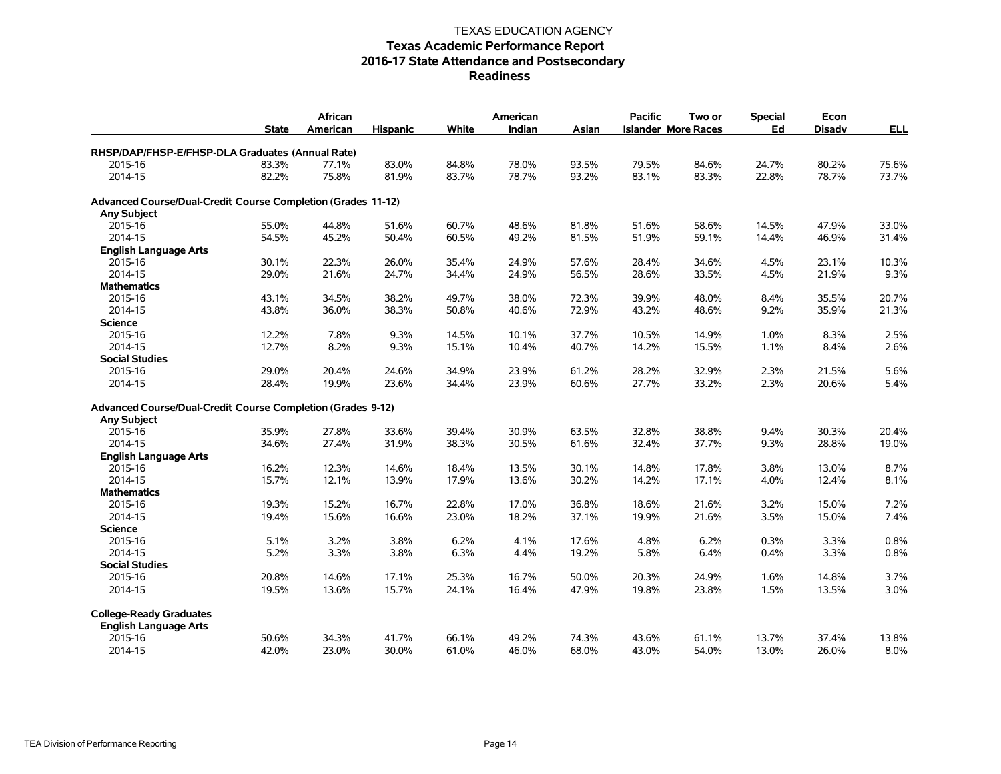|                                                              | African      |          |                 |       | American |       | <b>Pacific</b><br>Two or | <b>Special</b><br>Econ     |       |               |            |
|--------------------------------------------------------------|--------------|----------|-----------------|-------|----------|-------|--------------------------|----------------------------|-------|---------------|------------|
|                                                              | <b>State</b> | American | <b>Hispanic</b> | White | Indian   | Asian |                          | <b>Islander More Races</b> | Ed    | <b>Disadv</b> | <b>ELL</b> |
| RHSP/DAP/FHSP-E/FHSP-DLA Graduates (Annual Rate)             |              |          |                 |       |          |       |                          |                            |       |               |            |
| 2015-16                                                      | 83.3%        | 77.1%    | 83.0%           | 84.8% | 78.0%    | 93.5% | 79.5%                    | 84.6%                      | 24.7% | 80.2%         | 75.6%      |
| 2014-15                                                      | 82.2%        | 75.8%    | 81.9%           | 83.7% | 78.7%    | 93.2% | 83.1%                    | 83.3%                      | 22.8% | 78.7%         | 73.7%      |
| Advanced Course/Dual-Credit Course Completion (Grades 11-12) |              |          |                 |       |          |       |                          |                            |       |               |            |
| <b>Any Subject</b>                                           |              |          |                 |       |          |       |                          |                            |       |               |            |
| 2015-16                                                      | 55.0%        | 44.8%    | 51.6%           | 60.7% | 48.6%    | 81.8% | 51.6%                    | 58.6%                      | 14.5% | 47.9%         | 33.0%      |
| 2014-15                                                      | 54.5%        | 45.2%    | 50.4%           | 60.5% | 49.2%    | 81.5% | 51.9%                    | 59.1%                      | 14.4% | 46.9%         | 31.4%      |
| <b>English Language Arts</b>                                 |              |          |                 |       |          |       |                          |                            |       |               |            |
| 2015-16                                                      | 30.1%        | 22.3%    | 26.0%           | 35.4% | 24.9%    | 57.6% | 28.4%                    | 34.6%                      | 4.5%  | 23.1%         | 10.3%      |
| 2014-15                                                      | 29.0%        | 21.6%    | 24.7%           | 34.4% | 24.9%    | 56.5% | 28.6%                    | 33.5%                      | 4.5%  | 21.9%         | 9.3%       |
| <b>Mathematics</b>                                           |              |          |                 |       |          |       |                          |                            |       |               |            |
| 2015-16                                                      | 43.1%        | 34.5%    | 38.2%           | 49.7% | 38.0%    | 72.3% | 39.9%                    | 48.0%                      | 8.4%  | 35.5%         | 20.7%      |
| 2014-15                                                      | 43.8%        | 36.0%    | 38.3%           | 50.8% | 40.6%    | 72.9% | 43.2%                    | 48.6%                      | 9.2%  | 35.9%         | 21.3%      |
| <b>Science</b>                                               |              |          |                 |       |          |       |                          |                            |       |               |            |
| 2015-16                                                      | 12.2%        | 7.8%     | 9.3%            | 14.5% | 10.1%    | 37.7% | 10.5%                    | 14.9%                      | 1.0%  | 8.3%          | 2.5%       |
| 2014-15                                                      | 12.7%        | 8.2%     | 9.3%            | 15.1% | 10.4%    | 40.7% | 14.2%                    | 15.5%                      | 1.1%  | 8.4%          | 2.6%       |
| <b>Social Studies</b>                                        |              |          |                 |       |          |       |                          |                            |       |               |            |
| 2015-16                                                      | 29.0%        | 20.4%    | 24.6%           | 34.9% | 23.9%    | 61.2% | 28.2%                    | 32.9%                      | 2.3%  | 21.5%         | 5.6%       |
| 2014-15                                                      | 28.4%        | 19.9%    | 23.6%           | 34.4% | 23.9%    | 60.6% | 27.7%                    | 33.2%                      | 2.3%  | 20.6%         | 5.4%       |
| Advanced Course/Dual-Credit Course Completion (Grades 9-12)  |              |          |                 |       |          |       |                          |                            |       |               |            |
| <b>Any Subject</b>                                           |              |          |                 |       |          |       |                          |                            |       |               |            |
| 2015-16                                                      | 35.9%        | 27.8%    | 33.6%           | 39.4% | 30.9%    | 63.5% | 32.8%                    | 38.8%                      | 9.4%  | 30.3%         | 20.4%      |
| 2014-15                                                      | 34.6%        | 27.4%    | 31.9%           | 38.3% | 30.5%    | 61.6% | 32.4%                    | 37.7%                      | 9.3%  | 28.8%         | 19.0%      |
| <b>English Language Arts</b>                                 |              |          |                 |       |          |       |                          |                            |       |               |            |
| 2015-16                                                      | 16.2%        | 12.3%    | 14.6%           | 18.4% | 13.5%    | 30.1% | 14.8%                    | 17.8%                      | 3.8%  | 13.0%         | 8.7%       |
| 2014-15                                                      | 15.7%        | 12.1%    | 13.9%           | 17.9% | 13.6%    | 30.2% | 14.2%                    | 17.1%                      | 4.0%  | 12.4%         | 8.1%       |
| <b>Mathematics</b>                                           |              |          |                 |       |          |       |                          |                            |       |               |            |
| 2015-16                                                      | 19.3%        | 15.2%    | 16.7%           | 22.8% | 17.0%    | 36.8% | 18.6%                    | 21.6%                      | 3.2%  | 15.0%         | 7.2%       |
| 2014-15                                                      | 19.4%        | 15.6%    | 16.6%           | 23.0% | 18.2%    | 37.1% | 19.9%                    | 21.6%                      | 3.5%  | 15.0%         | 7.4%       |
| <b>Science</b>                                               |              |          |                 |       |          |       |                          |                            |       |               |            |
| 2015-16                                                      | 5.1%         | 3.2%     | 3.8%            | 6.2%  | 4.1%     | 17.6% | 4.8%                     | 6.2%                       | 0.3%  | 3.3%          | 0.8%       |
| 2014-15                                                      | 5.2%         | 3.3%     | 3.8%            | 6.3%  | 4.4%     | 19.2% | 5.8%                     | 6.4%                       | 0.4%  | 3.3%          | 0.8%       |
| <b>Social Studies</b>                                        |              |          |                 |       |          |       |                          |                            |       |               |            |
| 2015-16                                                      | 20.8%        | 14.6%    | 17.1%           | 25.3% | 16.7%    | 50.0% | 20.3%                    | 24.9%                      | 1.6%  | 14.8%         | 3.7%       |
| 2014-15                                                      | 19.5%        | 13.6%    | 15.7%           | 24.1% | 16.4%    | 47.9% | 19.8%                    | 23.8%                      | 1.5%  | 13.5%         | 3.0%       |
| <b>College-Ready Graduates</b>                               |              |          |                 |       |          |       |                          |                            |       |               |            |
| <b>English Language Arts</b>                                 |              |          |                 |       |          |       |                          |                            |       |               |            |
| 2015-16                                                      | 50.6%        | 34.3%    | 41.7%           | 66.1% | 49.2%    | 74.3% | 43.6%                    | 61.1%                      | 13.7% | 37.4%         | 13.8%      |
| 2014-15                                                      | 42.0%        | 23.0%    | 30.0%           | 61.0% | 46.0%    | 68.0% | 43.0%                    | 54.0%                      | 13.0% | 26.0%         | 8.0%       |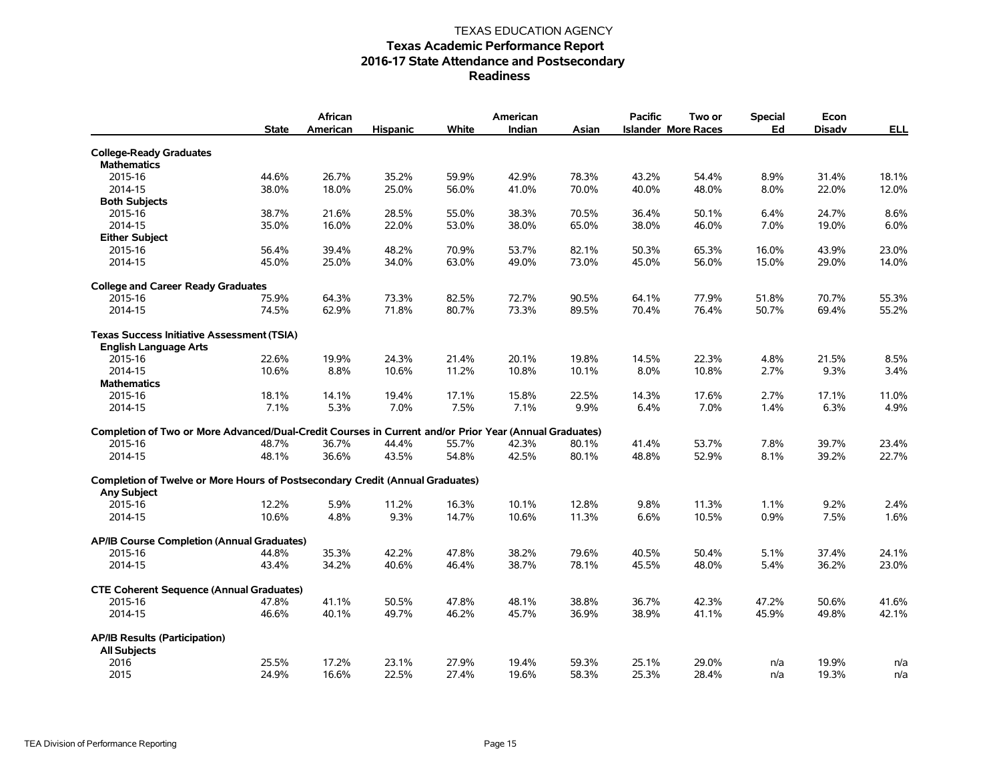|                                                                                                        | <b>State</b> | African<br>American | <b>Hispanic</b> | White | American<br>Indian | Asian | <b>Pacific</b> | Two or<br><b>Islander More Races</b> | <b>Special</b><br>Ed | Econ<br><b>Disadv</b> | <b>ELL</b> |
|--------------------------------------------------------------------------------------------------------|--------------|---------------------|-----------------|-------|--------------------|-------|----------------|--------------------------------------|----------------------|-----------------------|------------|
| <b>College-Ready Graduates</b>                                                                         |              |                     |                 |       |                    |       |                |                                      |                      |                       |            |
| <b>Mathematics</b>                                                                                     |              |                     |                 |       |                    |       |                |                                      |                      |                       |            |
| 2015-16                                                                                                | 44.6%        | 26.7%               | 35.2%           | 59.9% | 42.9%              | 78.3% | 43.2%          | 54.4%                                | 8.9%                 | 31.4%                 | 18.1%      |
| 2014-15                                                                                                | 38.0%        | 18.0%               | 25.0%           | 56.0% | 41.0%              | 70.0% | 40.0%          | 48.0%                                | 8.0%                 | 22.0%                 | 12.0%      |
| <b>Both Subjects</b>                                                                                   |              |                     |                 |       |                    |       |                |                                      |                      |                       |            |
| 2015-16                                                                                                | 38.7%        | 21.6%               | 28.5%           | 55.0% | 38.3%              | 70.5% | 36.4%          | 50.1%                                | 6.4%                 | 24.7%                 | 8.6%       |
| 2014-15                                                                                                | 35.0%        | 16.0%               | 22.0%           | 53.0% | 38.0%              | 65.0% | 38.0%          | 46.0%                                | 7.0%                 | 19.0%                 | 6.0%       |
| <b>Either Subject</b>                                                                                  |              |                     |                 |       |                    |       |                |                                      |                      |                       |            |
| 2015-16                                                                                                | 56.4%        | 39.4%               | 48.2%           | 70.9% | 53.7%              | 82.1% | 50.3%          | 65.3%                                | 16.0%                | 43.9%                 | 23.0%      |
|                                                                                                        |              |                     |                 |       |                    |       |                |                                      |                      |                       |            |
| 2014-15                                                                                                | 45.0%        | 25.0%               | 34.0%           | 63.0% | 49.0%              | 73.0% | 45.0%          | 56.0%                                | 15.0%                | 29.0%                 | 14.0%      |
| <b>College and Career Ready Graduates</b>                                                              |              |                     |                 |       |                    |       |                |                                      |                      |                       |            |
| 2015-16                                                                                                | 75.9%        | 64.3%               | 73.3%           | 82.5% | 72.7%              | 90.5% | 64.1%          | 77.9%                                | 51.8%                | 70.7%                 | 55.3%      |
| 2014-15                                                                                                | 74.5%        | 62.9%               | 71.8%           | 80.7% | 73.3%              | 89.5% | 70.4%          | 76.4%                                | 50.7%                | 69.4%                 | 55.2%      |
| <b>Texas Success Initiative Assessment (TSIA)</b>                                                      |              |                     |                 |       |                    |       |                |                                      |                      |                       |            |
| <b>English Language Arts</b>                                                                           |              |                     |                 |       |                    |       |                |                                      |                      |                       |            |
| 2015-16                                                                                                | 22.6%        | 19.9%               | 24.3%           | 21.4% | 20.1%              | 19.8% | 14.5%          | 22.3%                                | 4.8%                 | 21.5%                 | 8.5%       |
| 2014-15                                                                                                | 10.6%        | 8.8%                | 10.6%           | 11.2% | 10.8%              | 10.1% | 8.0%           | 10.8%                                | 2.7%                 | 9.3%                  | 3.4%       |
| <b>Mathematics</b>                                                                                     |              |                     |                 |       |                    |       |                |                                      |                      |                       |            |
| 2015-16                                                                                                | 18.1%        | 14.1%               | 19.4%           | 17.1% | 15.8%              | 22.5% | 14.3%          | 17.6%                                | 2.7%                 | 17.1%                 | 11.0%      |
| 2014-15                                                                                                | 7.1%         | 5.3%                | 7.0%            | 7.5%  | 7.1%               | 9.9%  | 6.4%           | 7.0%                                 | 1.4%                 | 6.3%                  | 4.9%       |
| Completion of Two or More Advanced/Dual-Credit Courses in Current and/or Prior Year (Annual Graduates) |              |                     |                 |       |                    |       |                |                                      |                      |                       |            |
| 2015-16                                                                                                | 48.7%        | 36.7%               | 44.4%           | 55.7% | 42.3%              | 80.1% | 41.4%          | 53.7%                                | 7.8%                 | 39.7%                 | 23.4%      |
| 2014-15                                                                                                | 48.1%        | 36.6%               | 43.5%           | 54.8% | 42.5%              | 80.1% | 48.8%          | 52.9%                                | 8.1%                 | 39.2%                 | 22.7%      |
| <b>Completion of Twelve or More Hours of Postsecondary Credit (Annual Graduates)</b>                   |              |                     |                 |       |                    |       |                |                                      |                      |                       |            |
| <b>Any Subject</b>                                                                                     |              |                     |                 |       |                    |       |                |                                      |                      |                       |            |
| 2015-16                                                                                                | 12.2%        | 5.9%                | 11.2%           | 16.3% | 10.1%              | 12.8% | 9.8%           | 11.3%                                | 1.1%                 | 9.2%                  | 2.4%       |
| 2014-15                                                                                                | 10.6%        | 4.8%                | 9.3%            | 14.7% | 10.6%              | 11.3% | 6.6%           | 10.5%                                | 0.9%                 | 7.5%                  | 1.6%       |
|                                                                                                        |              |                     |                 |       |                    |       |                |                                      |                      |                       |            |
| AP/IB Course Completion (Annual Graduates)                                                             |              |                     |                 |       |                    |       |                |                                      |                      |                       |            |
| 2015-16                                                                                                | 44.8%        | 35.3%               | 42.2%           | 47.8% | 38.2%              | 79.6% | 40.5%          | 50.4%                                | 5.1%                 | 37.4%                 | 24.1%      |
| 2014-15                                                                                                | 43.4%        | 34.2%               | 40.6%           | 46.4% | 38.7%              | 78.1% | 45.5%          | 48.0%                                | 5.4%                 | 36.2%                 | 23.0%      |
| <b>CTE Coherent Sequence (Annual Graduates)</b>                                                        |              |                     |                 |       |                    |       |                |                                      |                      |                       |            |
| 2015-16                                                                                                | 47.8%        | 41.1%               | 50.5%           | 47.8% | 48.1%              | 38.8% | 36.7%          | 42.3%                                | 47.2%                | 50.6%                 | 41.6%      |
| 2014-15                                                                                                | 46.6%        | 40.1%               | 49.7%           | 46.2% | 45.7%              | 36.9% | 38.9%          | 41.1%                                | 45.9%                | 49.8%                 | 42.1%      |
| <b>AP/IB Results (Participation)</b>                                                                   |              |                     |                 |       |                    |       |                |                                      |                      |                       |            |
| <b>All Subjects</b>                                                                                    |              |                     |                 |       |                    |       |                |                                      |                      |                       |            |
| 2016                                                                                                   | 25.5%        | 17.2%               | 23.1%           | 27.9% | 19.4%              | 59.3% | 25.1%          | 29.0%                                | n/a                  | 19.9%                 | n/a        |
| 2015                                                                                                   | 24.9%        | 16.6%               | 22.5%           | 27.4% | 19.6%              | 58.3% | 25.3%          | 28.4%                                | n/a                  | 19.3%                 | n/a        |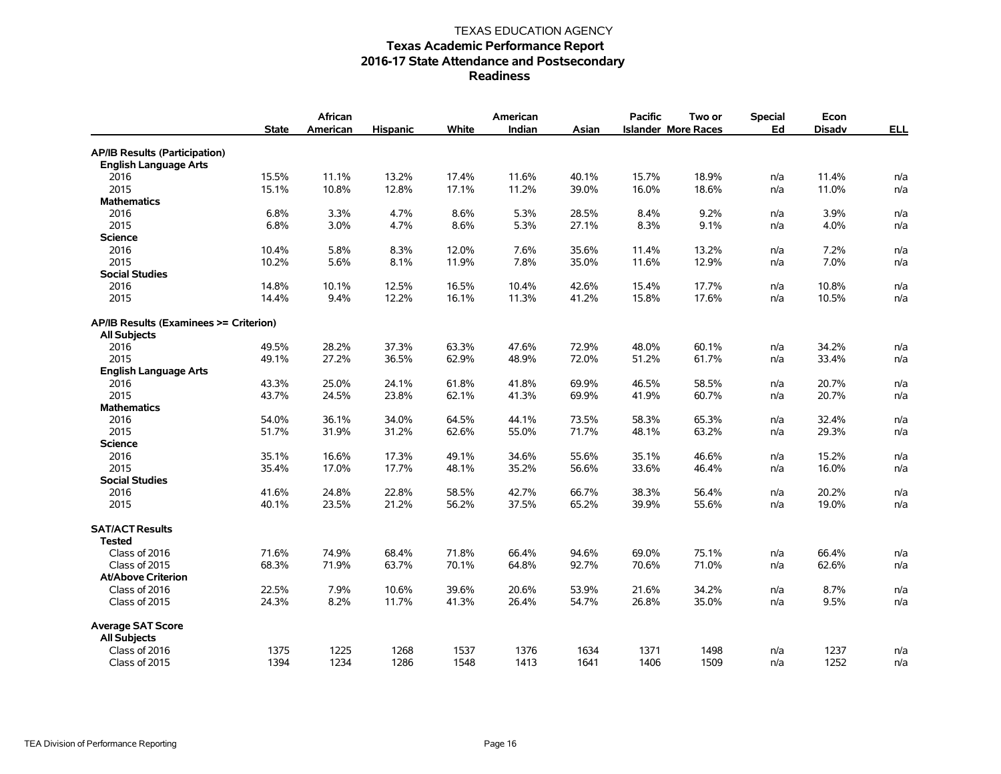|                                                 | <b>State</b> | African<br>American | <b>Hispanic</b> | White | American<br>Indian | Asian | <b>Pacific</b> | Two or<br><b>Islander More Races</b> | <b>Special</b><br>Ed | Econ<br><b>Disadv</b> | <b>ELL</b> |
|-------------------------------------------------|--------------|---------------------|-----------------|-------|--------------------|-------|----------------|--------------------------------------|----------------------|-----------------------|------------|
| <b>AP/IB Results (Participation)</b>            |              |                     |                 |       |                    |       |                |                                      |                      |                       |            |
| <b>English Language Arts</b>                    |              |                     |                 |       |                    |       |                |                                      |                      |                       |            |
| 2016                                            | 15.5%        | 11.1%               | 13.2%           | 17.4% | 11.6%              | 40.1% | 15.7%          | 18.9%                                | n/a                  | 11.4%                 | n/a        |
| 2015                                            | 15.1%        | 10.8%               | 12.8%           | 17.1% | 11.2%              | 39.0% | 16.0%          | 18.6%                                | n/a                  | 11.0%                 | n/a        |
| <b>Mathematics</b>                              |              |                     |                 |       |                    |       |                |                                      |                      |                       |            |
| 2016                                            | 6.8%         | 3.3%                | 4.7%            | 8.6%  | 5.3%               | 28.5% | 8.4%           | 9.2%                                 | n/a                  | 3.9%                  | n/a        |
| 2015                                            | 6.8%         | 3.0%                | 4.7%            | 8.6%  | 5.3%               | 27.1% | 8.3%           | 9.1%                                 | n/a                  | 4.0%                  | n/a        |
| <b>Science</b>                                  |              |                     |                 |       |                    |       |                |                                      |                      |                       |            |
| 2016                                            | 10.4%        | 5.8%                | 8.3%            | 12.0% | 7.6%               | 35.6% | 11.4%          | 13.2%                                | n/a                  | 7.2%                  | n/a        |
| 2015                                            | 10.2%        | 5.6%                | 8.1%            | 11.9% | 7.8%               | 35.0% | 11.6%          | 12.9%                                | n/a                  | 7.0%                  | n/a        |
| <b>Social Studies</b>                           |              |                     |                 |       |                    |       |                |                                      |                      |                       |            |
| 2016                                            | 14.8%        | 10.1%               | 12.5%           | 16.5% | 10.4%              | 42.6% | 15.4%          | 17.7%                                | n/a                  | 10.8%                 | n/a        |
| 2015                                            | 14.4%        | 9.4%                | 12.2%           | 16.1% | 11.3%              | 41.2% | 15.8%          | 17.6%                                | n/a                  | 10.5%                 | n/a        |
| AP/IB Results (Examinees >= Criterion)          |              |                     |                 |       |                    |       |                |                                      |                      |                       |            |
| <b>All Subjects</b>                             |              |                     |                 |       |                    |       |                |                                      |                      |                       |            |
| 2016                                            | 49.5%        | 28.2%               | 37.3%           | 63.3% | 47.6%              | 72.9% | 48.0%          | 60.1%                                | n/a                  | 34.2%                 | n/a        |
| 2015                                            | 49.1%        | 27.2%               | 36.5%           | 62.9% | 48.9%              | 72.0% | 51.2%          | 61.7%                                | n/a                  | 33.4%                 | n/a        |
| <b>English Language Arts</b>                    |              |                     |                 |       |                    |       |                |                                      |                      |                       |            |
| 2016                                            | 43.3%        | 25.0%               | 24.1%           | 61.8% | 41.8%              | 69.9% | 46.5%          | 58.5%                                | n/a                  | 20.7%                 | n/a        |
| 2015                                            | 43.7%        | 24.5%               | 23.8%           | 62.1% | 41.3%              | 69.9% | 41.9%          | 60.7%                                | n/a                  | 20.7%                 | n/a        |
| <b>Mathematics</b>                              |              |                     |                 |       |                    |       |                |                                      |                      |                       |            |
| 2016                                            | 54.0%        | 36.1%               | 34.0%           | 64.5% | 44.1%              | 73.5% | 58.3%          | 65.3%                                | n/a                  | 32.4%                 | n/a        |
| 2015                                            | 51.7%        | 31.9%               | 31.2%           | 62.6% | 55.0%              | 71.7% | 48.1%          | 63.2%                                | n/a                  | 29.3%                 | n/a        |
| <b>Science</b>                                  |              |                     |                 |       |                    |       |                |                                      |                      |                       |            |
| 2016                                            | 35.1%        | 16.6%               | 17.3%           | 49.1% | 34.6%              | 55.6% | 35.1%          | 46.6%                                | n/a                  | 15.2%                 | n/a        |
| 2015                                            | 35.4%        | 17.0%               | 17.7%           | 48.1% | 35.2%              | 56.6% | 33.6%          | 46.4%                                | n/a                  | 16.0%                 | n/a        |
| <b>Social Studies</b>                           |              |                     |                 |       |                    |       |                |                                      |                      |                       |            |
| 2016                                            | 41.6%        | 24.8%               | 22.8%           | 58.5% | 42.7%              | 66.7% | 38.3%          | 56.4%                                | n/a                  | 20.2%                 | n/a        |
| 2015                                            | 40.1%        | 23.5%               | 21.2%           | 56.2% | 37.5%              | 65.2% | 39.9%          | 55.6%                                | n/a                  | 19.0%                 | n/a        |
| <b>SAT/ACT Results</b><br><b>Tested</b>         |              |                     |                 |       |                    |       |                |                                      |                      |                       |            |
| Class of 2016                                   | 71.6%        | 74.9%               | 68.4%           | 71.8% | 66.4%              | 94.6% | 69.0%          | 75.1%                                | n/a                  | 66.4%                 | n/a        |
| Class of 2015                                   | 68.3%        | 71.9%               | 63.7%           | 70.1% | 64.8%              | 92.7% | 70.6%          | 71.0%                                | n/a                  | 62.6%                 | n/a        |
| <b>At/Above Criterion</b>                       |              |                     |                 |       |                    |       |                |                                      |                      |                       |            |
| Class of 2016                                   | 22.5%        | 7.9%                | 10.6%           | 39.6% | 20.6%              | 53.9% | 21.6%          | 34.2%                                | n/a                  | 8.7%                  | n/a        |
| Class of 2015                                   | 24.3%        | 8.2%                | 11.7%           | 41.3% | 26.4%              | 54.7% | 26.8%          | 35.0%                                | n/a                  | 9.5%                  | n/a        |
| <b>Average SAT Score</b><br><b>All Subjects</b> |              |                     |                 |       |                    |       |                |                                      |                      |                       |            |
| Class of 2016                                   | 1375         | 1225                | 1268            | 1537  | 1376               | 1634  | 1371           | 1498                                 | n/a                  | 1237                  | n/a        |
| Class of 2015                                   | 1394         | 1234                | 1286            | 1548  | 1413               | 1641  | 1406           | 1509                                 | n/a                  | 1252                  | n/a        |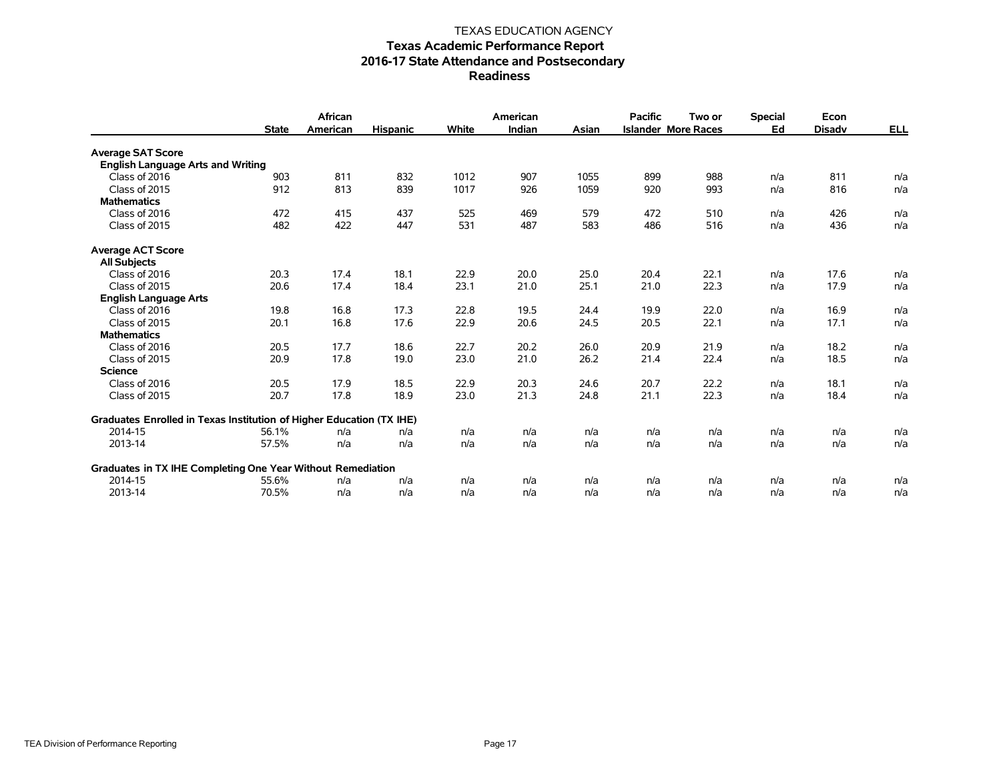|                                                                      | <b>State</b> | <b>African</b><br>American | <b>Hispanic</b> | White | American<br>Indian | Asian | <b>Pacific</b> | Two or<br><b>Islander More Races</b> | <b>Special</b><br>Ed | Econ<br><b>Disadv</b> | <u>ELL</u> |
|----------------------------------------------------------------------|--------------|----------------------------|-----------------|-------|--------------------|-------|----------------|--------------------------------------|----------------------|-----------------------|------------|
| <b>Average SAT Score</b>                                             |              |                            |                 |       |                    |       |                |                                      |                      |                       |            |
| <b>English Language Arts and Writing</b>                             |              |                            |                 |       |                    |       |                |                                      |                      |                       |            |
| Class of 2016                                                        | 903          | 811                        | 832             | 1012  | 907                | 1055  | 899            | 988                                  | n/a                  | 811                   | n/a        |
| Class of 2015                                                        | 912          | 813                        | 839             | 1017  | 926                | 1059  | 920            | 993                                  | n/a                  | 816                   | n/a        |
| <b>Mathematics</b>                                                   |              |                            |                 |       |                    |       |                |                                      |                      |                       |            |
| Class of 2016                                                        | 472          | 415                        | 437             | 525   | 469                | 579   | 472            | 510                                  | n/a                  | 426                   | n/a        |
| Class of 2015                                                        | 482          | 422                        | 447             | 531   | 487                | 583   | 486            | 516                                  | n/a                  | 436                   | n/a        |
| <b>Average ACT Score</b>                                             |              |                            |                 |       |                    |       |                |                                      |                      |                       |            |
| <b>All Subjects</b>                                                  |              |                            |                 |       |                    |       |                |                                      |                      |                       |            |
| Class of 2016                                                        | 20.3         | 17.4                       | 18.1            | 22.9  | 20.0               | 25.0  | 20.4           | 22.1                                 | n/a                  | 17.6                  | n/a        |
| Class of 2015                                                        | 20.6         | 17.4                       | 18.4            | 23.1  | 21.0               | 25.1  | 21.0           | 22.3                                 | n/a                  | 17.9                  | n/a        |
| <b>English Language Arts</b>                                         |              |                            |                 |       |                    |       |                |                                      |                      |                       |            |
| Class of 2016                                                        | 19.8         | 16.8                       | 17.3            | 22.8  | 19.5               | 24.4  | 19.9           | 22.0                                 | n/a                  | 16.9                  | n/a        |
| Class of 2015                                                        | 20.1         | 16.8                       | 17.6            | 22.9  | 20.6               | 24.5  | 20.5           | 22.1                                 | n/a                  | 17.1                  | n/a        |
| <b>Mathematics</b>                                                   |              |                            |                 |       |                    |       |                |                                      |                      |                       |            |
| Class of 2016                                                        | 20.5         | 17.7                       | 18.6            | 22.7  | 20.2               | 26.0  | 20.9           | 21.9                                 | n/a                  | 18.2                  | n/a        |
| Class of 2015                                                        | 20.9         | 17.8                       | 19.0            | 23.0  | 21.0               | 26.2  | 21.4           | 22.4                                 | n/a                  | 18.5                  | n/a        |
| <b>Science</b>                                                       |              |                            |                 |       |                    |       |                |                                      |                      |                       |            |
| Class of 2016                                                        | 20.5         | 17.9                       | 18.5            | 22.9  | 20.3               | 24.6  | 20.7           | 22.2                                 | n/a                  | 18.1                  | n/a        |
| Class of 2015                                                        | 20.7         | 17.8                       | 18.9            | 23.0  | 21.3               | 24.8  | 21.1           | 22.3                                 | n/a                  | 18.4                  | n/a        |
| Graduates Enrolled in Texas Institution of Higher Education (TX IHE) |              |                            |                 |       |                    |       |                |                                      |                      |                       |            |
| 2014-15                                                              | 56.1%        | n/a                        | n/a             | n/a   | n/a                | n/a   | n/a            | n/a                                  | n/a                  | n/a                   | n/a        |
| 2013-14                                                              | 57.5%        | n/a                        | n/a             | n/a   | n/a                | n/a   | n/a            | n/a                                  | n/a                  | n/a                   | n/a        |
| Graduates in TX IHE Completing One Year Without Remediation          |              |                            |                 |       |                    |       |                |                                      |                      |                       |            |
| 2014-15                                                              | 55.6%        | n/a                        | n/a             | n/a   | n/a                | n/a   | n/a            | n/a                                  | n/a                  | n/a                   | n/a        |
| 2013-14                                                              | 70.5%        | n/a                        | n/a             | n/a   | n/a                | n/a   | n/a            | n/a                                  | n/a                  | n/a                   | n/a        |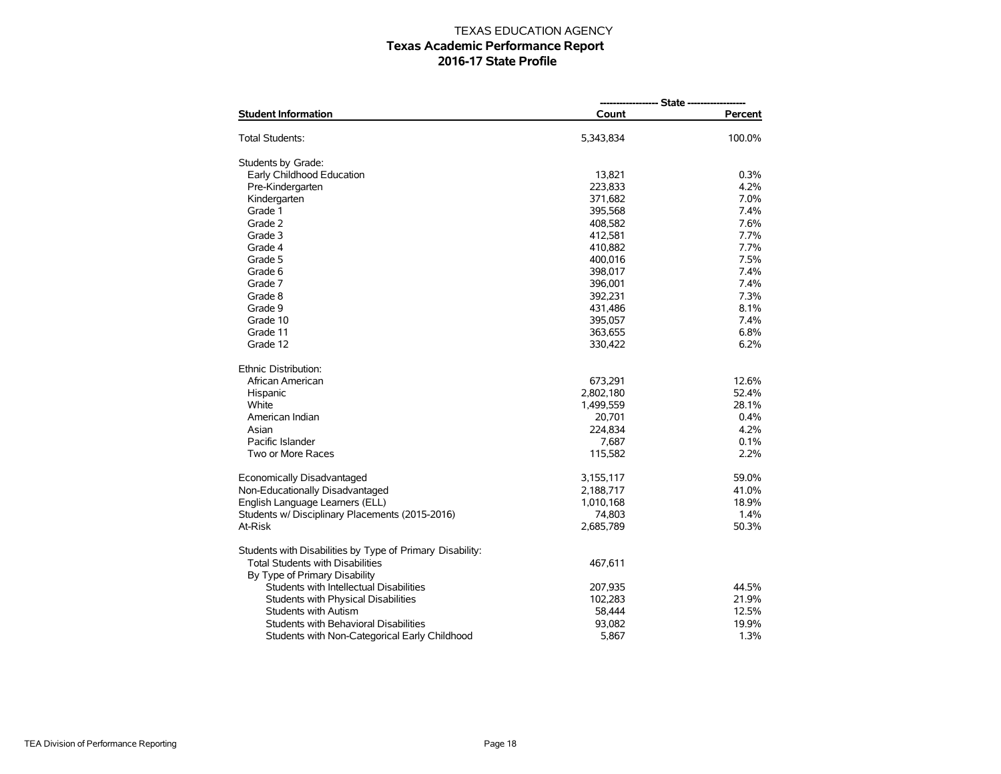| <b>Student Information</b>                                               | Count     | Percent |  |  |  |
|--------------------------------------------------------------------------|-----------|---------|--|--|--|
| Total Students:                                                          | 5,343,834 | 100.0%  |  |  |  |
| Students by Grade:                                                       |           |         |  |  |  |
| Early Childhood Education                                                | 13,821    | 0.3%    |  |  |  |
| Pre-Kindergarten                                                         | 223,833   | 4.2%    |  |  |  |
| Kindergarten                                                             | 371,682   | 7.0%    |  |  |  |
| Grade 1                                                                  | 395.568   | 7.4%    |  |  |  |
| Grade 2                                                                  | 408,582   | 7.6%    |  |  |  |
| Grade 3                                                                  | 412,581   | 7.7%    |  |  |  |
| Grade 4                                                                  | 410,882   | 7.7%    |  |  |  |
| Grade 5                                                                  | 400,016   | 7.5%    |  |  |  |
| Grade 6                                                                  | 398,017   | 7.4%    |  |  |  |
| Grade 7                                                                  | 396,001   | 7.4%    |  |  |  |
| Grade 8                                                                  | 392,231   | 7.3%    |  |  |  |
| Grade 9                                                                  | 431,486   | 8.1%    |  |  |  |
| Grade 10                                                                 | 395,057   | 7.4%    |  |  |  |
| Grade 11                                                                 | 363,655   | 6.8%    |  |  |  |
| Grade 12                                                                 | 330,422   | 6.2%    |  |  |  |
| Ethnic Distribution:                                                     |           |         |  |  |  |
| African American                                                         | 673,291   | 12.6%   |  |  |  |
| Hispanic                                                                 | 2,802,180 | 52.4%   |  |  |  |
| White                                                                    | 1,499,559 | 28.1%   |  |  |  |
| American Indian                                                          | 20,701    | 0.4%    |  |  |  |
| Asian                                                                    | 224,834   | 4.2%    |  |  |  |
| Pacific Islander                                                         | 7,687     | 0.1%    |  |  |  |
| Two or More Races                                                        | 115,582   | 2.2%    |  |  |  |
| Economically Disadvantaged                                               | 3,155,117 | 59.0%   |  |  |  |
| Non-Educationally Disadvantaged                                          | 2,188,717 | 41.0%   |  |  |  |
| English Language Learners (ELL)                                          | 1,010,168 | 18.9%   |  |  |  |
| Students w/ Disciplinary Placements (2015-2016)                          | 74,803    | 1.4%    |  |  |  |
| At-Risk                                                                  | 2,685,789 | 50.3%   |  |  |  |
| Students with Disabilities by Type of Primary Disability:                |           |         |  |  |  |
| <b>Total Students with Disabilities</b><br>By Type of Primary Disability | 467,611   |         |  |  |  |
| Students with Intellectual Disabilities                                  | 207,935   | 44.5%   |  |  |  |
| Students with Physical Disabilities                                      | 102,283   | 21.9%   |  |  |  |
| <b>Students with Autism</b>                                              | 58,444    | 12.5%   |  |  |  |
| Students with Behavioral Disabilities                                    | 93,082    | 19.9%   |  |  |  |
| Students with Non-Categorical Early Childhood                            | 5,867     | 1.3%    |  |  |  |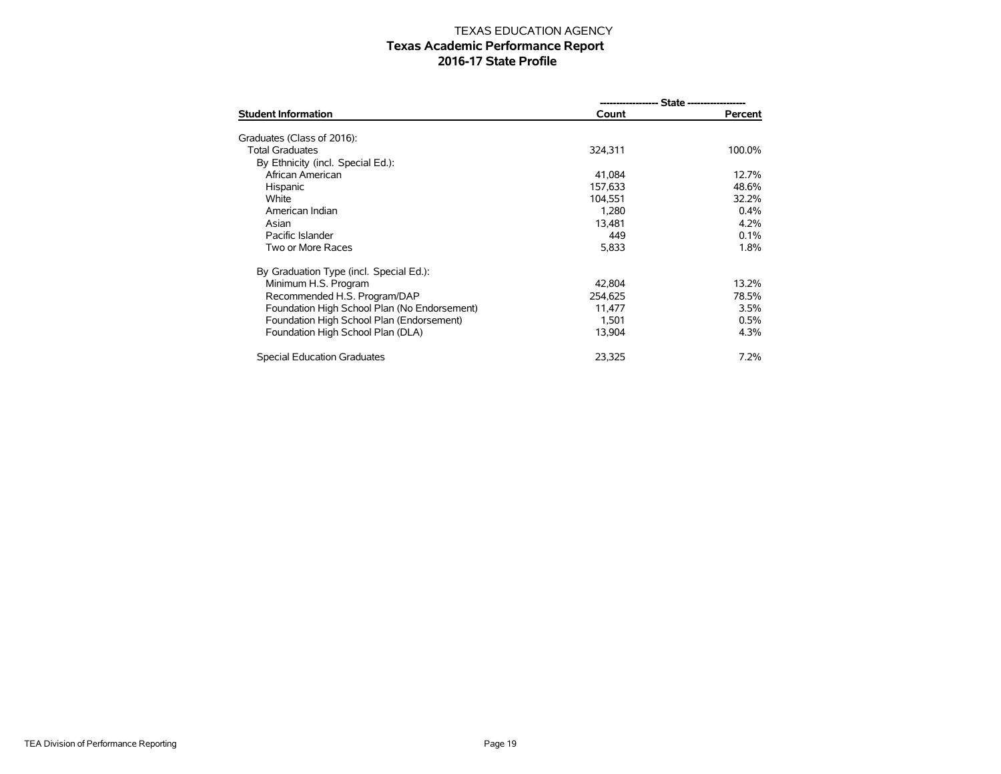| <b>Student Information</b>                   | Count   | Percent |  |  |  |  |
|----------------------------------------------|---------|---------|--|--|--|--|
| Graduates (Class of 2016):                   |         |         |  |  |  |  |
| <b>Total Graduates</b>                       |         | 100.0%  |  |  |  |  |
|                                              | 324,311 |         |  |  |  |  |
| By Ethnicity (incl. Special Ed.):            |         |         |  |  |  |  |
| African American                             | 41,084  | 12.7%   |  |  |  |  |
| Hispanic                                     | 157,633 | 48.6%   |  |  |  |  |
| White                                        | 104.551 | 32.2%   |  |  |  |  |
| American Indian                              | 1,280   | 0.4%    |  |  |  |  |
| Asian                                        | 13.481  | 4.2%    |  |  |  |  |
| Pacific Islander                             | 449     | 0.1%    |  |  |  |  |
| Two or More Races                            | 5,833   | 1.8%    |  |  |  |  |
| By Graduation Type (incl. Special Ed.):      |         |         |  |  |  |  |
| Minimum H.S. Program                         | 42.804  | 13.2%   |  |  |  |  |
| Recommended H.S. Program/DAP                 | 254,625 | 78.5%   |  |  |  |  |
| Foundation High School Plan (No Endorsement) | 11.477  | 3.5%    |  |  |  |  |
| Foundation High School Plan (Endorsement)    | 1,501   | 0.5%    |  |  |  |  |
| Foundation High School Plan (DLA)            | 13,904  | 4.3%    |  |  |  |  |
| Special Education Graduates                  | 23,325  | 7.2%    |  |  |  |  |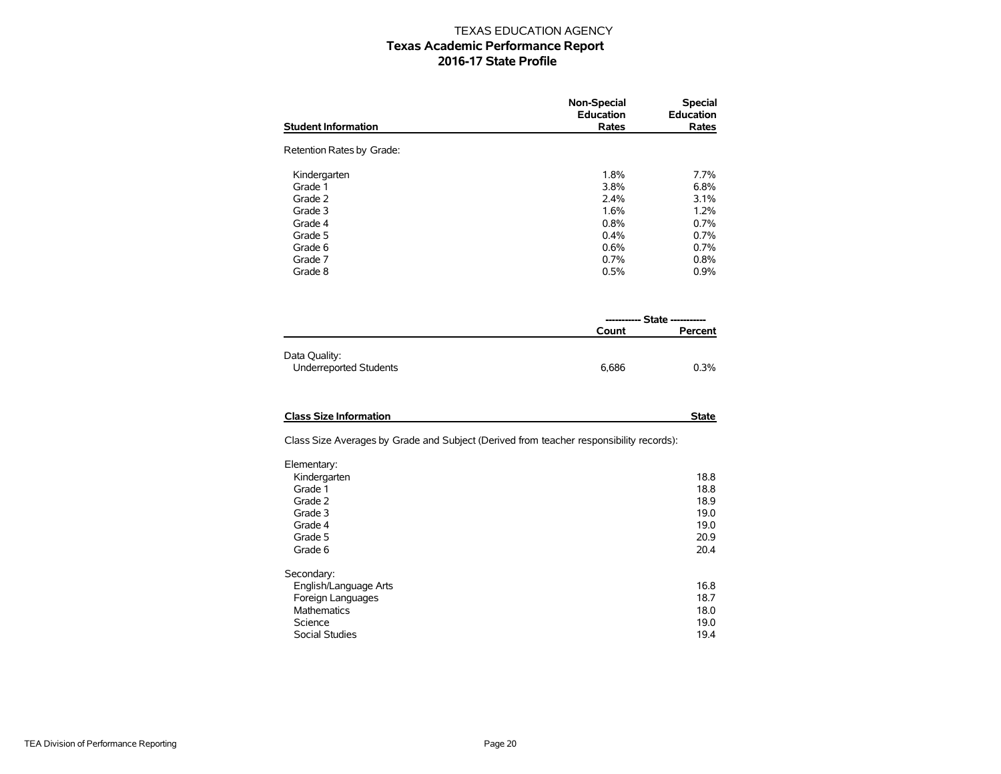|                            | <b>Non-Special</b><br><b>Education</b> | <b>Special</b><br><b>Education</b> |
|----------------------------|----------------------------------------|------------------------------------|
| <b>Student Information</b> | Rates                                  | Rates                              |
| Retention Rates by Grade:  |                                        |                                    |
| Kindergarten               | 1.8%                                   | 7.7%                               |
| Grade 1                    | 3.8%                                   | 6.8%                               |
| Grade 2                    | 2.4%                                   | 3.1%                               |
| Grade 3                    | 1.6%                                   | 1.2%                               |
| Grade 4                    | 0.8%                                   | 0.7%                               |
| Grade 5                    | 0.4%                                   | 0.7%                               |
| Grade 6                    | 0.6%                                   | 0.7%                               |
| Grade 7                    | 0.7%                                   | 0.8%                               |
| Grade 8                    | 0.5%                                   | 0.9%                               |
|                            |                                        |                                    |

|                                                | ----------- State ----------- |         |  |
|------------------------------------------------|-------------------------------|---------|--|
|                                                | Count                         | Percent |  |
| Data Quality:<br><b>Underreported Students</b> | 6.686                         | 0.3%    |  |

| <b>Class Size Information</b> | State |
|-------------------------------|-------|
|                               |       |

Class Size Averages by Grade and Subject (Derived from teacher responsibility records):

| Elementary:           |      |
|-----------------------|------|
| Kindergarten          | 18.8 |
| Grade 1               | 18.8 |
| Grade 2               | 18.9 |
| Grade 3               | 19.0 |
| Grade 4               | 19.0 |
| Grade 5               | 20.9 |
| Grade 6               | 20.4 |
| Secondary:            |      |
| English/Language Arts | 16.8 |
| Foreign Languages     | 18.7 |
| <b>Mathematics</b>    | 18.0 |
| Science               | 19.0 |
| <b>Social Studies</b> | 19.4 |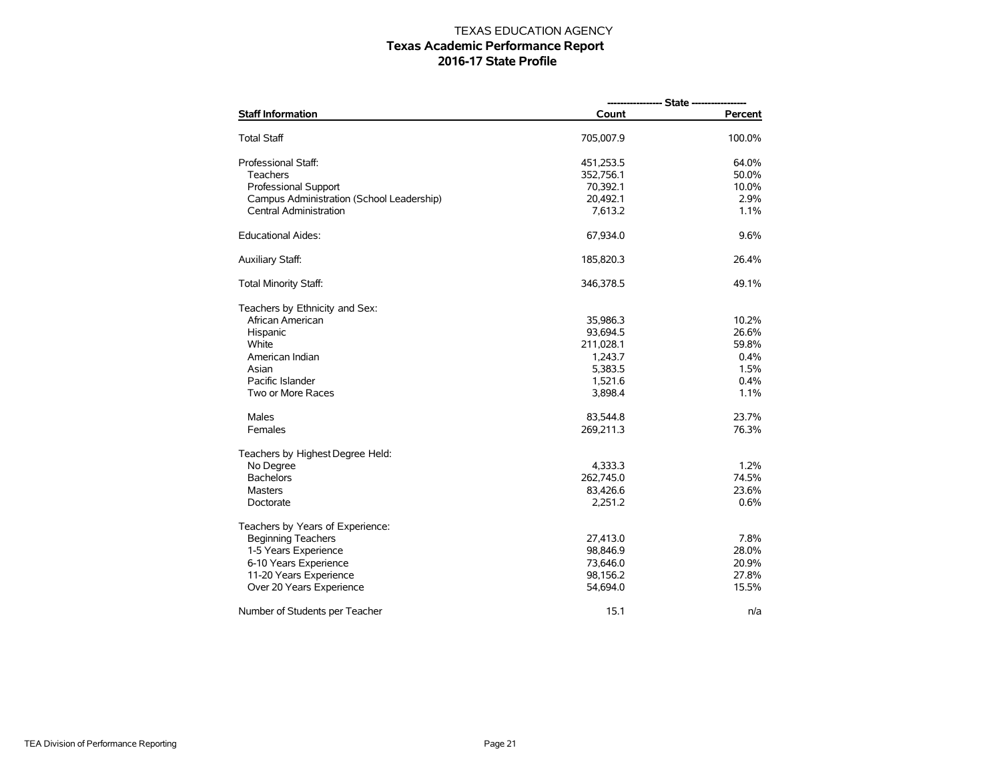| <b>Staff Information</b>                  | Count     | Percent |  |  |  |
|-------------------------------------------|-----------|---------|--|--|--|
| Total Staff                               | 705,007.9 | 100.0%  |  |  |  |
| Professional Staff:                       | 451,253.5 | 64.0%   |  |  |  |
| Teachers                                  | 352,756.1 | 50.0%   |  |  |  |
| <b>Professional Support</b>               | 70,392.1  | 10.0%   |  |  |  |
| Campus Administration (School Leadership) | 20,492.1  | 2.9%    |  |  |  |
| Central Administration                    | 7,613.2   | 1.1%    |  |  |  |
| Educational Aides:                        | 67,934.0  | 9.6%    |  |  |  |
| <b>Auxiliary Staff:</b>                   | 185,820.3 | 26.4%   |  |  |  |
| <b>Total Minority Staff:</b>              | 346,378.5 | 49.1%   |  |  |  |
| Teachers by Ethnicity and Sex:            |           |         |  |  |  |
| African American                          | 35,986.3  | 10.2%   |  |  |  |
| Hispanic                                  | 93,694.5  | 26.6%   |  |  |  |
| White                                     | 211,028.1 | 59.8%   |  |  |  |
| American Indian                           | 1,243.7   | 0.4%    |  |  |  |
| Asian                                     | 5,383.5   | 1.5%    |  |  |  |
| Pacific Islander                          | 1,521.6   | 0.4%    |  |  |  |
| Two or More Races                         | 3,898.4   | 1.1%    |  |  |  |
| Males                                     | 83,544.8  | 23.7%   |  |  |  |
| Females                                   | 269,211.3 | 76.3%   |  |  |  |
| Teachers by Highest Degree Held:          |           |         |  |  |  |
| No Degree                                 | 4,333.3   | 1.2%    |  |  |  |
| <b>Bachelors</b>                          | 262,745.0 | 74.5%   |  |  |  |
| <b>Masters</b>                            | 83,426.6  | 23.6%   |  |  |  |
| Doctorate                                 | 2,251.2   | 0.6%    |  |  |  |
| Teachers by Years of Experience:          |           |         |  |  |  |
| <b>Beginning Teachers</b>                 | 27,413.0  | 7.8%    |  |  |  |
| 1-5 Years Experience                      | 98,846.9  | 28.0%   |  |  |  |
| 6-10 Years Experience                     | 73,646.0  | 20.9%   |  |  |  |
| 11-20 Years Experience                    | 98,156.2  | 27.8%   |  |  |  |
| Over 20 Years Experience                  | 54,694.0  | 15.5%   |  |  |  |
| Number of Students per Teacher            | 15.1      | n/a     |  |  |  |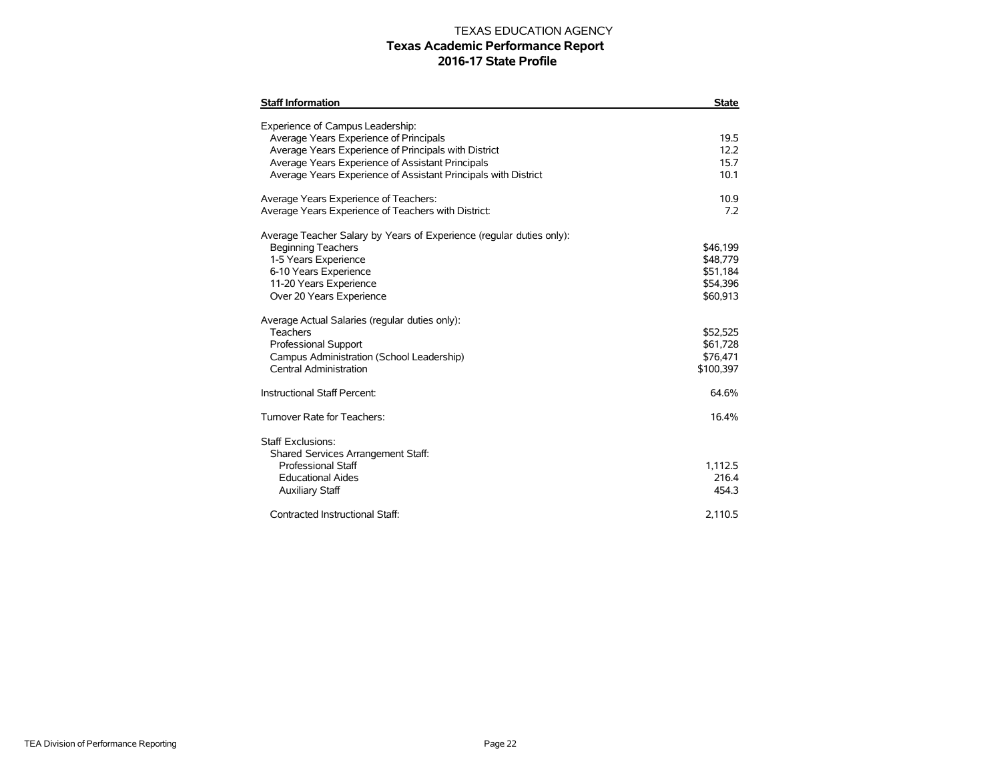| <b>Staff Information</b>                                                                                                                                                                                                                                                                                                                                              | <b>State</b>                                                                                              |
|-----------------------------------------------------------------------------------------------------------------------------------------------------------------------------------------------------------------------------------------------------------------------------------------------------------------------------------------------------------------------|-----------------------------------------------------------------------------------------------------------|
| Experience of Campus Leadership:<br>Average Years Experience of Principals<br>Average Years Experience of Principals with District<br>Average Years Experience of Assistant Principals<br>Average Years Experience of Assistant Principals with District                                                                                                              | 19.5<br>12.2<br>15.7<br>10.1                                                                              |
| Average Years Experience of Teachers:<br>Average Years Experience of Teachers with District:                                                                                                                                                                                                                                                                          | 10.9<br>72                                                                                                |
| Average Teacher Salary by Years of Experience (regular duties only):<br><b>Beginning Teachers</b><br>1-5 Years Experience<br>6-10 Years Experience<br>11-20 Years Experience<br>Over 20 Years Experience<br>Average Actual Salaries (regular duties only):<br>Teachers<br>Professional Support<br>Campus Administration (School Leadership)<br>Central Administration | \$46,199<br>\$48,779<br>\$51,184<br>\$54,396<br>\$60,913<br>\$52,525<br>\$61,728<br>\$76,471<br>\$100,397 |
| Instructional Staff Percent:                                                                                                                                                                                                                                                                                                                                          | 64.6%                                                                                                     |
| Turnover Rate for Teachers:                                                                                                                                                                                                                                                                                                                                           | 16.4%                                                                                                     |
| Staff Exclusions:<br>Shared Services Arrangement Staff:<br><b>Professional Staff</b><br><b>Educational Aides</b><br><b>Auxiliary Staff</b><br>Contracted Instructional Staff:                                                                                                                                                                                         | 1,112.5<br>216.4<br>454.3<br>2,110.5                                                                      |